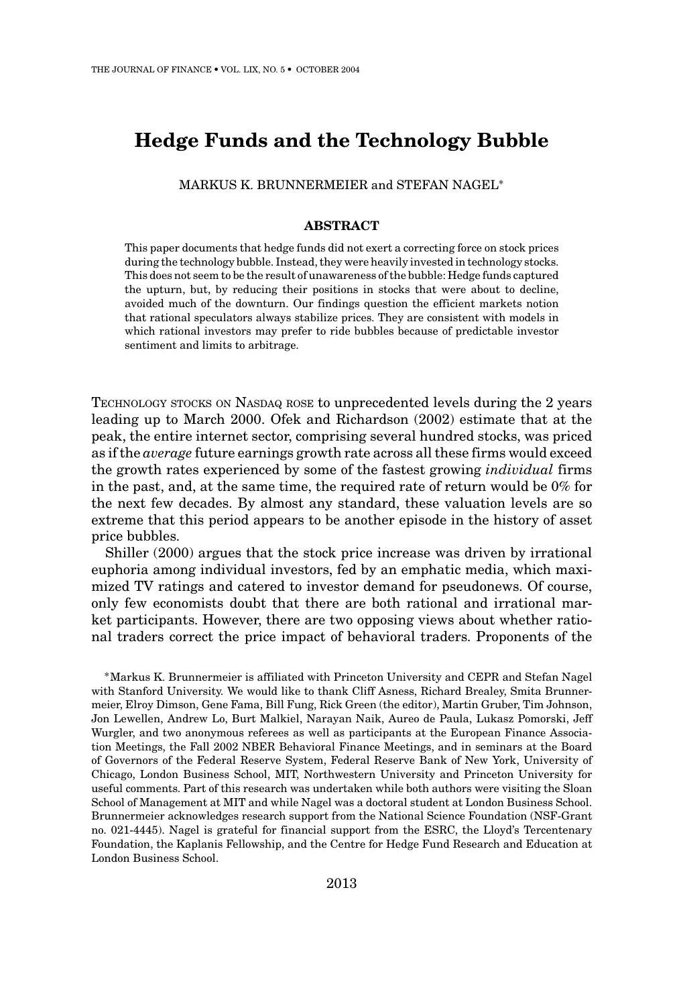# **Hedge Funds and the Technology Bubble**

MARKUS K. BRUNNERMEIER and STEFAN NAGEL∗

# **ABSTRACT**

This paper documents that hedge funds did not exert a correcting force on stock prices during the technology bubble. Instead, they were heavily invested in technology stocks. This does not seem to be the result of unawareness of the bubble: Hedge funds captured the upturn, but, by reducing their positions in stocks that were about to decline, avoided much of the downturn. Our findings question the efficient markets notion that rational speculators always stabilize prices. They are consistent with models in which rational investors may prefer to ride bubbles because of predictable investor sentiment and limits to arbitrage.

TECHNOLOGY STOCKS ON NASDAQ ROSE to unprecedented levels during the 2 years leading up to March 2000. Ofek and Richardson (2002) estimate that at the peak, the entire internet sector, comprising several hundred stocks, was priced as if the *average* future earnings growth rate across all these firms would exceed the growth rates experienced by some of the fastest growing *individual* firms in the past, and, at the same time, the required rate of return would be 0% for the next few decades. By almost any standard, these valuation levels are so extreme that this period appears to be another episode in the history of asset price bubbles.

Shiller (2000) argues that the stock price increase was driven by irrational euphoria among individual investors, fed by an emphatic media, which maximized TV ratings and catered to investor demand for pseudonews. Of course, only few economists doubt that there are both rational and irrational market participants. However, there are two opposing views about whether rational traders correct the price impact of behavioral traders. Proponents of the

∗Markus K. Brunnermeier is affiliated with Princeton University and CEPR and Stefan Nagel with Stanford University. We would like to thank Cliff Asness, Richard Brealey, Smita Brunnermeier, Elroy Dimson, Gene Fama, Bill Fung, Rick Green (the editor), Martin Gruber, Tim Johnson, Jon Lewellen, Andrew Lo, Burt Malkiel, Narayan Naik, Aureo de Paula, Lukasz Pomorski, Jeff Wurgler, and two anonymous referees as well as participants at the European Finance Association Meetings, the Fall 2002 NBER Behavioral Finance Meetings, and in seminars at the Board of Governors of the Federal Reserve System, Federal Reserve Bank of New York, University of Chicago, London Business School, MIT, Northwestern University and Princeton University for useful comments. Part of this research was undertaken while both authors were visiting the Sloan School of Management at MIT and while Nagel was a doctoral student at London Business School. Brunnermeier acknowledges research support from the National Science Foundation (NSF-Grant no. 021-4445). Nagel is grateful for financial support from the ESRC, the Lloyd's Tercentenary Foundation, the Kaplanis Fellowship, and the Centre for Hedge Fund Research and Education at London Business School.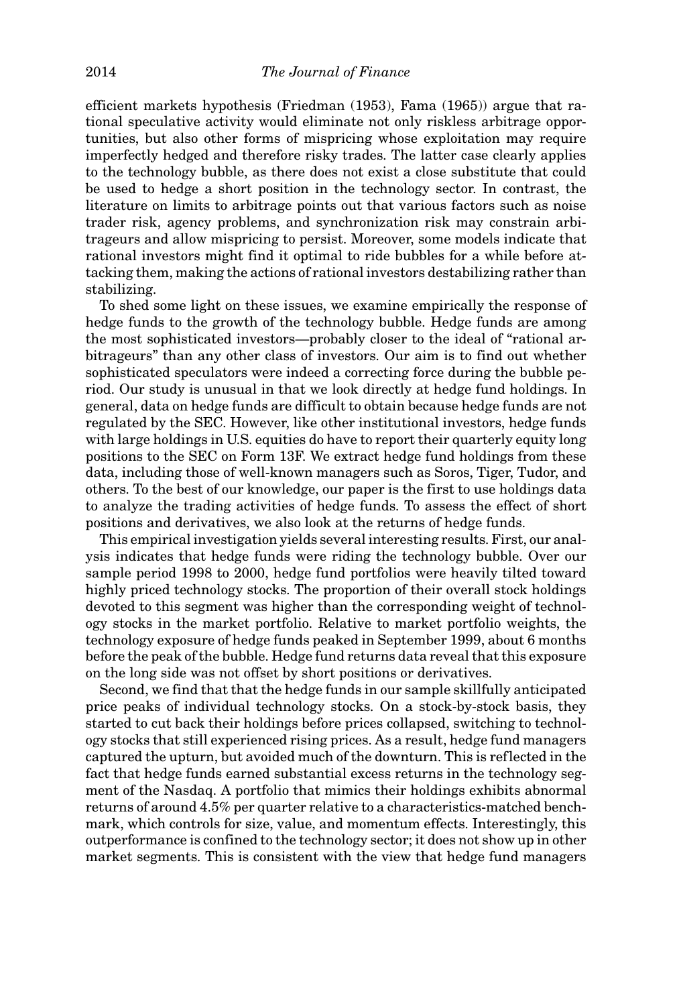efficient markets hypothesis (Friedman (1953), Fama (1965)) argue that rational speculative activity would eliminate not only riskless arbitrage opportunities, but also other forms of mispricing whose exploitation may require imperfectly hedged and therefore risky trades. The latter case clearly applies to the technology bubble, as there does not exist a close substitute that could be used to hedge a short position in the technology sector. In contrast, the literature on limits to arbitrage points out that various factors such as noise trader risk, agency problems, and synchronization risk may constrain arbitrageurs and allow mispricing to persist. Moreover, some models indicate that rational investors might find it optimal to ride bubbles for a while before attacking them, making the actions of rational investors destabilizing rather than stabilizing.

To shed some light on these issues, we examine empirically the response of hedge funds to the growth of the technology bubble. Hedge funds are among the most sophisticated investors—probably closer to the ideal of "rational arbitrageurs" than any other class of investors. Our aim is to find out whether sophisticated speculators were indeed a correcting force during the bubble period. Our study is unusual in that we look directly at hedge fund holdings. In general, data on hedge funds are difficult to obtain because hedge funds are not regulated by the SEC. However, like other institutional investors, hedge funds with large holdings in U.S. equities do have to report their quarterly equity long positions to the SEC on Form 13F. We extract hedge fund holdings from these data, including those of well-known managers such as Soros, Tiger, Tudor, and others. To the best of our knowledge, our paper is the first to use holdings data to analyze the trading activities of hedge funds. To assess the effect of short positions and derivatives, we also look at the returns of hedge funds.

This empirical investigation yields several interesting results. First, our analysis indicates that hedge funds were riding the technology bubble. Over our sample period 1998 to 2000, hedge fund portfolios were heavily tilted toward highly priced technology stocks. The proportion of their overall stock holdings devoted to this segment was higher than the corresponding weight of technology stocks in the market portfolio. Relative to market portfolio weights, the technology exposure of hedge funds peaked in September 1999, about 6 months before the peak of the bubble. Hedge fund returns data reveal that this exposure on the long side was not offset by short positions or derivatives.

Second, we find that that the hedge funds in our sample skillfully anticipated price peaks of individual technology stocks. On a stock-by-stock basis, they started to cut back their holdings before prices collapsed, switching to technology stocks that still experienced rising prices. As a result, hedge fund managers captured the upturn, but avoided much of the downturn. This is reflected in the fact that hedge funds earned substantial excess returns in the technology segment of the Nasdaq. A portfolio that mimics their holdings exhibits abnormal returns of around 4.5% per quarter relative to a characteristics-matched benchmark, which controls for size, value, and momentum effects. Interestingly, this outperformance is confined to the technology sector; it does not show up in other market segments. This is consistent with the view that hedge fund managers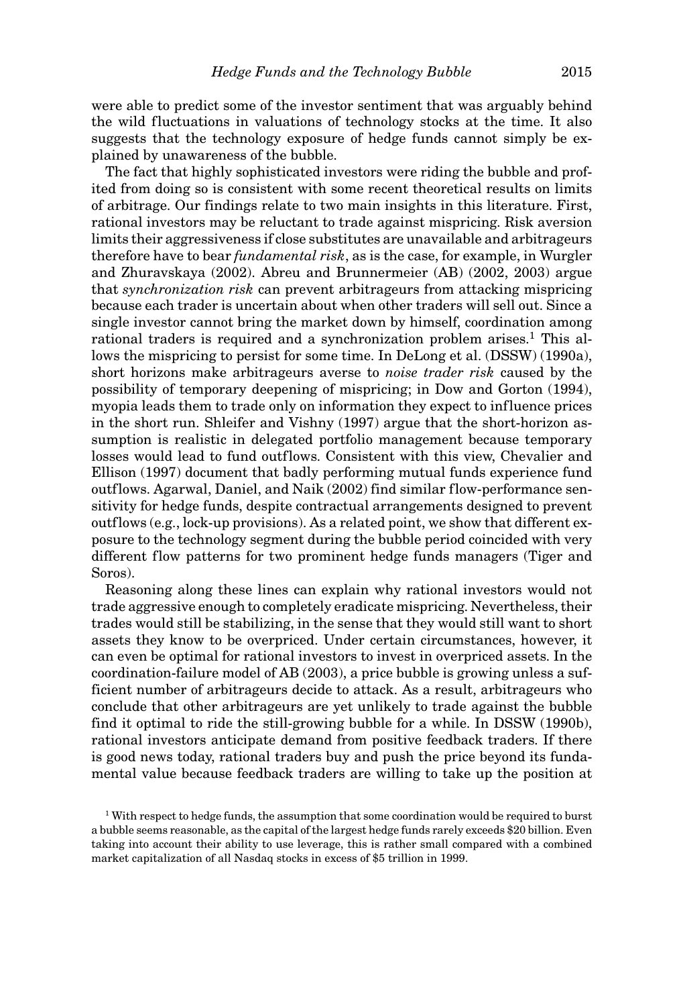were able to predict some of the investor sentiment that was arguably behind the wild fluctuations in valuations of technology stocks at the time. It also suggests that the technology exposure of hedge funds cannot simply be explained by unawareness of the bubble.

The fact that highly sophisticated investors were riding the bubble and profited from doing so is consistent with some recent theoretical results on limits of arbitrage. Our findings relate to two main insights in this literature. First, rational investors may be reluctant to trade against mispricing. Risk aversion limits their aggressiveness if close substitutes are unavailable and arbitrageurs therefore have to bear *fundamental risk*, as is the case, for example, in Wurgler and Zhuravskaya (2002). Abreu and Brunnermeier (AB) (2002, 2003) argue that *synchronization risk* can prevent arbitrageurs from attacking mispricing because each trader is uncertain about when other traders will sell out. Since a single investor cannot bring the market down by himself, coordination among rational traders is required and a synchronization problem arises.<sup>1</sup> This allows the mispricing to persist for some time. In DeLong et al. (DSSW) (1990a), short horizons make arbitrageurs averse to *noise trader risk* caused by the possibility of temporary deepening of mispricing; in Dow and Gorton (1994), myopia leads them to trade only on information they expect to influence prices in the short run. Shleifer and Vishny (1997) argue that the short-horizon assumption is realistic in delegated portfolio management because temporary losses would lead to fund outflows. Consistent with this view, Chevalier and Ellison (1997) document that badly performing mutual funds experience fund outflows. Agarwal, Daniel, and Naik (2002) find similar flow-performance sensitivity for hedge funds, despite contractual arrangements designed to prevent outflows (e.g., lock-up provisions). As a related point, we show that different exposure to the technology segment during the bubble period coincided with very different flow patterns for two prominent hedge funds managers (Tiger and Soros).

Reasoning along these lines can explain why rational investors would not trade aggressive enough to completely eradicate mispricing. Nevertheless, their trades would still be stabilizing, in the sense that they would still want to short assets they know to be overpriced. Under certain circumstances, however, it can even be optimal for rational investors to invest in overpriced assets. In the coordination-failure model of AB (2003), a price bubble is growing unless a sufficient number of arbitrageurs decide to attack. As a result, arbitrageurs who conclude that other arbitrageurs are yet unlikely to trade against the bubble find it optimal to ride the still-growing bubble for a while. In DSSW (1990b), rational investors anticipate demand from positive feedback traders. If there is good news today, rational traders buy and push the price beyond its fundamental value because feedback traders are willing to take up the position at

<sup>&</sup>lt;sup>1</sup> With respect to hedge funds, the assumption that some coordination would be required to burst a bubble seems reasonable, as the capital of the largest hedge funds rarely exceeds \$20 billion. Even taking into account their ability to use leverage, this is rather small compared with a combined market capitalization of all Nasdaq stocks in excess of \$5 trillion in 1999.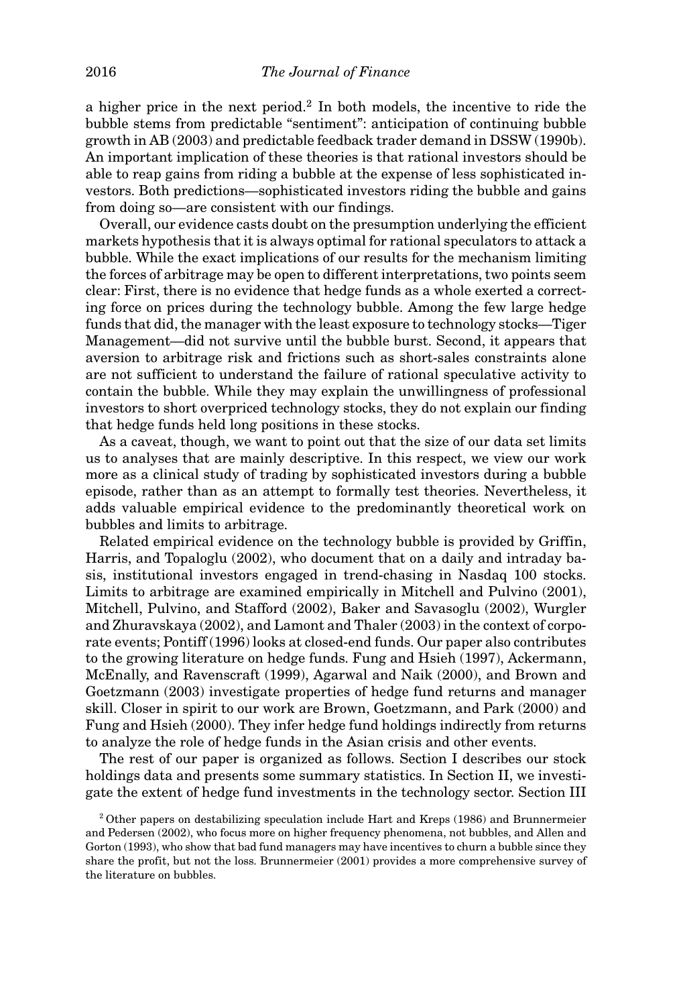a higher price in the next period.<sup>2</sup> In both models, the incentive to ride the bubble stems from predictable "sentiment": anticipation of continuing bubble growth in AB (2003) and predictable feedback trader demand in DSSW (1990b). An important implication of these theories is that rational investors should be able to reap gains from riding a bubble at the expense of less sophisticated investors. Both predictions—sophisticated investors riding the bubble and gains from doing so—are consistent with our findings.

Overall, our evidence casts doubt on the presumption underlying the efficient markets hypothesis that it is always optimal for rational speculators to attack a bubble. While the exact implications of our results for the mechanism limiting the forces of arbitrage may be open to different interpretations, two points seem clear: First, there is no evidence that hedge funds as a whole exerted a correcting force on prices during the technology bubble. Among the few large hedge funds that did, the manager with the least exposure to technology stocks—Tiger Management—did not survive until the bubble burst. Second, it appears that aversion to arbitrage risk and frictions such as short-sales constraints alone are not sufficient to understand the failure of rational speculative activity to contain the bubble. While they may explain the unwillingness of professional investors to short overpriced technology stocks, they do not explain our finding that hedge funds held long positions in these stocks.

As a caveat, though, we want to point out that the size of our data set limits us to analyses that are mainly descriptive. In this respect, we view our work more as a clinical study of trading by sophisticated investors during a bubble episode, rather than as an attempt to formally test theories. Nevertheless, it adds valuable empirical evidence to the predominantly theoretical work on bubbles and limits to arbitrage.

Related empirical evidence on the technology bubble is provided by Griffin, Harris, and Topaloglu (2002), who document that on a daily and intraday basis, institutional investors engaged in trend-chasing in Nasdaq 100 stocks. Limits to arbitrage are examined empirically in Mitchell and Pulvino (2001), Mitchell, Pulvino, and Stafford (2002), Baker and Savasoglu (2002), Wurgler and Zhuravskaya (2002), and Lamont and Thaler (2003) in the context of corporate events; Pontiff (1996) looks at closed-end funds. Our paper also contributes to the growing literature on hedge funds. Fung and Hsieh (1997), Ackermann, McEnally, and Ravenscraft (1999), Agarwal and Naik (2000), and Brown and Goetzmann (2003) investigate properties of hedge fund returns and manager skill. Closer in spirit to our work are Brown, Goetzmann, and Park (2000) and Fung and Hsieh (2000). They infer hedge fund holdings indirectly from returns to analyze the role of hedge funds in the Asian crisis and other events.

The rest of our paper is organized as follows. Section I describes our stock holdings data and presents some summary statistics. In Section II, we investigate the extent of hedge fund investments in the technology sector. Section III

<sup>2</sup> Other papers on destabilizing speculation include Hart and Kreps (1986) and Brunnermeier and Pedersen (2002), who focus more on higher frequency phenomena, not bubbles, and Allen and Gorton (1993), who show that bad fund managers may have incentives to churn a bubble since they share the profit, but not the loss. Brunnermeier (2001) provides a more comprehensive survey of the literature on bubbles.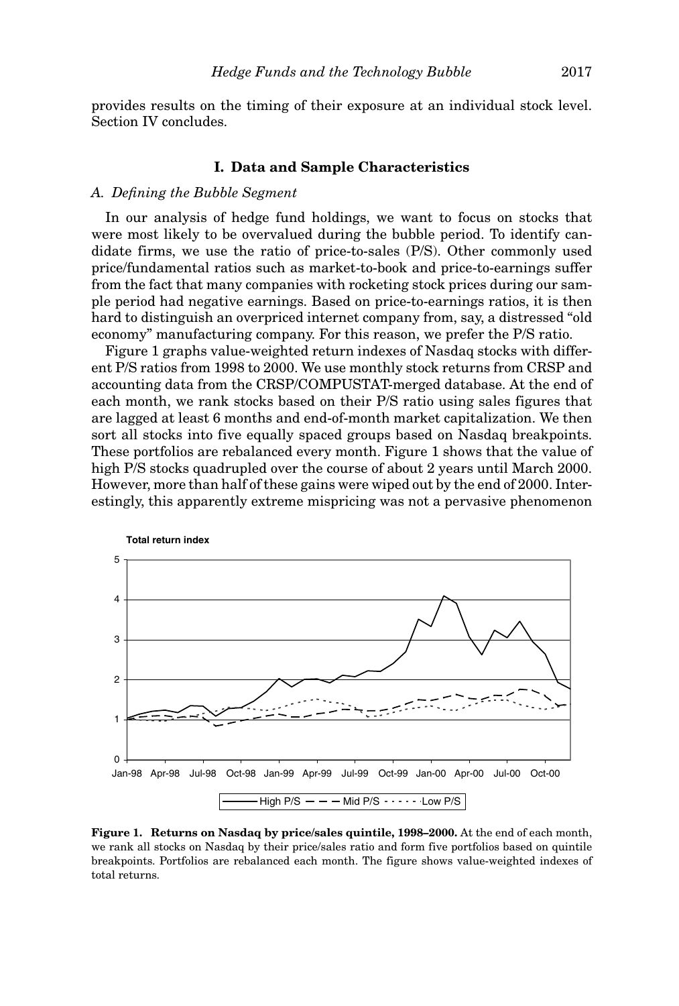provides results on the timing of their exposure at an individual stock level. Section IV concludes.

#### **I. Data and Sample Characteristics**

# *A. Defining the Bubble Segment*

In our analysis of hedge fund holdings, we want to focus on stocks that were most likely to be overvalued during the bubble period. To identify candidate firms, we use the ratio of price-to-sales (P/S). Other commonly used price/fundamental ratios such as market-to-book and price-to-earnings suffer from the fact that many companies with rocketing stock prices during our sample period had negative earnings. Based on price-to-earnings ratios, it is then hard to distinguish an overpriced internet company from, say, a distressed "old economy" manufacturing company. For this reason, we prefer the P/S ratio.

Figure 1 graphs value-weighted return indexes of Nasdaq stocks with different P/S ratios from 1998 to 2000. We use monthly stock returns from CRSP and accounting data from the CRSP/COMPUSTAT-merged database. At the end of each month, we rank stocks based on their P/S ratio using sales figures that are lagged at least 6 months and end-of-month market capitalization. We then sort all stocks into five equally spaced groups based on Nasdaq breakpoints. These portfolios are rebalanced every month. Figure 1 shows that the value of high P/S stocks quadrupled over the course of about 2 years until March 2000. However, more than half of these gains were wiped out by the end of 2000. Interestingly, this apparently extreme mispricing was not a pervasive phenomenon



**Figure 1. Returns on Nasdaq by price/sales quintile, 1998–2000.** At the end of each month, we rank all stocks on Nasdaq by their price/sales ratio and form five portfolios based on quintile breakpoints. Portfolios are rebalanced each month. The figure shows value-weighted indexes of total returns.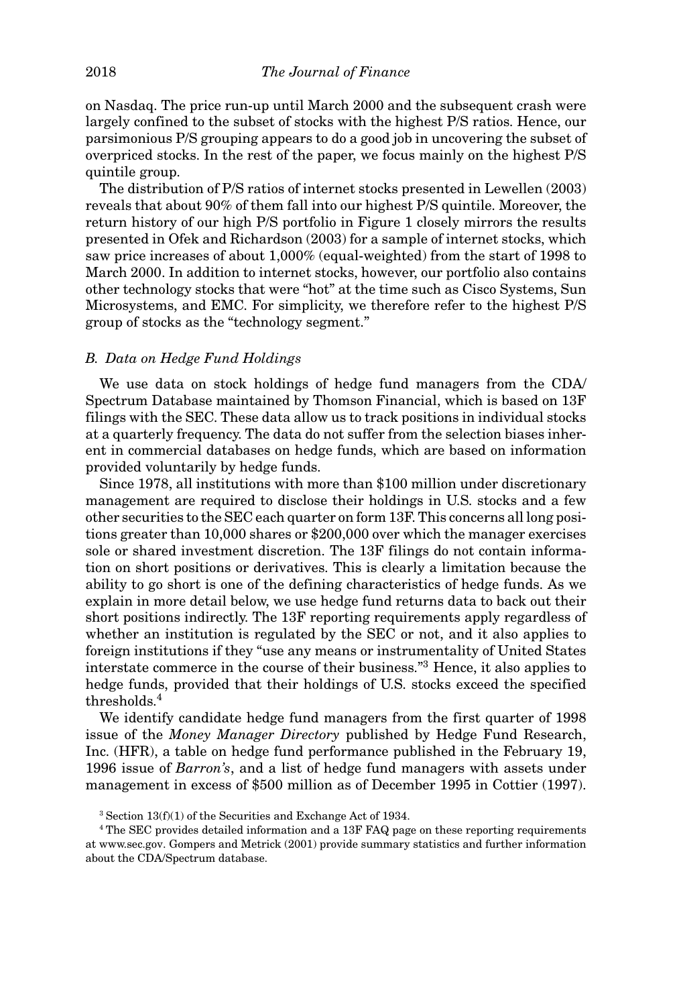on Nasdaq. The price run-up until March 2000 and the subsequent crash were largely confined to the subset of stocks with the highest P/S ratios. Hence, our parsimonious P/S grouping appears to do a good job in uncovering the subset of overpriced stocks. In the rest of the paper, we focus mainly on the highest P/S quintile group.

The distribution of P/S ratios of internet stocks presented in Lewellen (2003) reveals that about 90% of them fall into our highest P/S quintile. Moreover, the return history of our high P/S portfolio in Figure 1 closely mirrors the results presented in Ofek and Richardson (2003) for a sample of internet stocks, which saw price increases of about 1,000% (equal-weighted) from the start of 1998 to March 2000. In addition to internet stocks, however, our portfolio also contains other technology stocks that were "hot" at the time such as Cisco Systems, Sun Microsystems, and EMC. For simplicity, we therefore refer to the highest P/S group of stocks as the "technology segment."

# *B. Data on Hedge Fund Holdings*

We use data on stock holdings of hedge fund managers from the CDA/ Spectrum Database maintained by Thomson Financial, which is based on 13F filings with the SEC. These data allow us to track positions in individual stocks at a quarterly frequency. The data do not suffer from the selection biases inherent in commercial databases on hedge funds, which are based on information provided voluntarily by hedge funds.

Since 1978, all institutions with more than \$100 million under discretionary management are required to disclose their holdings in U.S. stocks and a few other securities to the SEC each quarter on form 13F. This concerns all long positions greater than 10,000 shares or \$200,000 over which the manager exercises sole or shared investment discretion. The 13F filings do not contain information on short positions or derivatives. This is clearly a limitation because the ability to go short is one of the defining characteristics of hedge funds. As we explain in more detail below, we use hedge fund returns data to back out their short positions indirectly. The 13F reporting requirements apply regardless of whether an institution is regulated by the SEC or not, and it also applies to foreign institutions if they "use any means or instrumentality of United States interstate commerce in the course of their business."<sup>3</sup> Hence, it also applies to hedge funds, provided that their holdings of U.S. stocks exceed the specified thresholds.4

We identify candidate hedge fund managers from the first quarter of 1998 issue of the *Money Manager Directory* published by Hedge Fund Research, Inc. (HFR), a table on hedge fund performance published in the February 19, 1996 issue of *Barron's*, and a list of hedge fund managers with assets under management in excess of \$500 million as of December 1995 in Cottier (1997).

<sup>3</sup> Section 13(f)(1) of the Securities and Exchange Act of 1934.

<sup>4</sup> The SEC provides detailed information and a 13F FAQ page on these reporting requirements at www.sec.gov. Gompers and Metrick (2001) provide summary statistics and further information about the CDA/Spectrum database.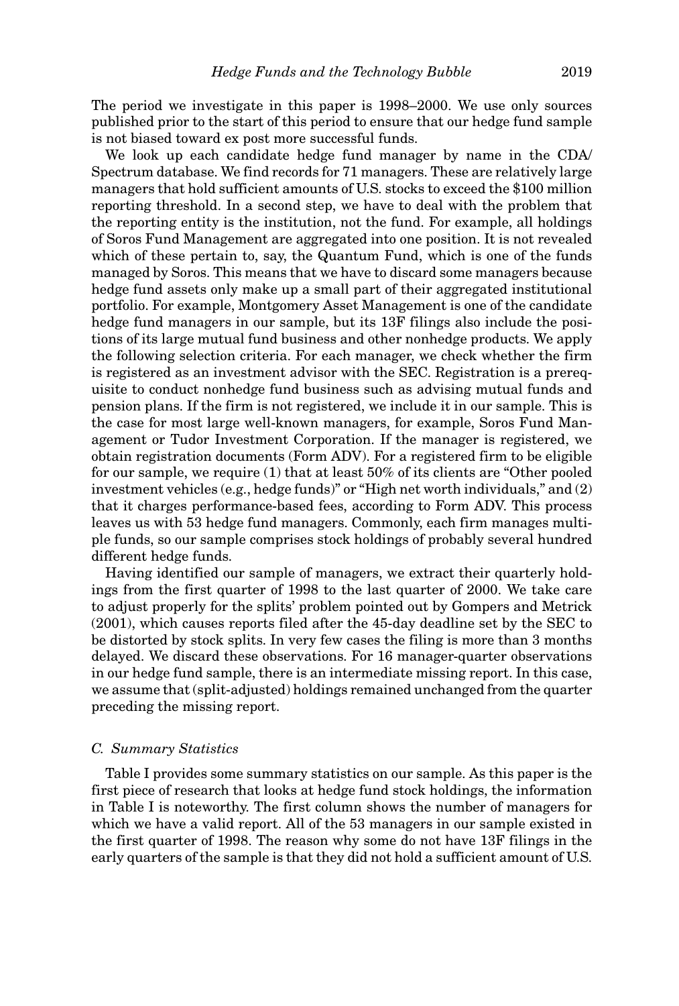The period we investigate in this paper is 1998–2000. We use only sources published prior to the start of this period to ensure that our hedge fund sample is not biased toward ex post more successful funds.

We look up each candidate hedge fund manager by name in the CDA/ Spectrum database. We find records for 71 managers. These are relatively large managers that hold sufficient amounts of U.S. stocks to exceed the \$100 million reporting threshold. In a second step, we have to deal with the problem that the reporting entity is the institution, not the fund. For example, all holdings of Soros Fund Management are aggregated into one position. It is not revealed which of these pertain to, say, the Quantum Fund, which is one of the funds managed by Soros. This means that we have to discard some managers because hedge fund assets only make up a small part of their aggregated institutional portfolio. For example, Montgomery Asset Management is one of the candidate hedge fund managers in our sample, but its 13F filings also include the positions of its large mutual fund business and other nonhedge products. We apply the following selection criteria. For each manager, we check whether the firm is registered as an investment advisor with the SEC. Registration is a prerequisite to conduct nonhedge fund business such as advising mutual funds and pension plans. If the firm is not registered, we include it in our sample. This is the case for most large well-known managers, for example, Soros Fund Management or Tudor Investment Corporation. If the manager is registered, we obtain registration documents (Form ADV). For a registered firm to be eligible for our sample, we require (1) that at least 50% of its clients are "Other pooled investment vehicles (e.g., hedge funds)" or "High net worth individuals," and (2) that it charges performance-based fees, according to Form ADV. This process leaves us with 53 hedge fund managers. Commonly, each firm manages multiple funds, so our sample comprises stock holdings of probably several hundred different hedge funds.

Having identified our sample of managers, we extract their quarterly holdings from the first quarter of 1998 to the last quarter of 2000. We take care to adjust properly for the splits' problem pointed out by Gompers and Metrick (2001), which causes reports filed after the 45-day deadline set by the SEC to be distorted by stock splits. In very few cases the filing is more than 3 months delayed. We discard these observations. For 16 manager-quarter observations in our hedge fund sample, there is an intermediate missing report. In this case, we assume that (split-adjusted) holdings remained unchanged from the quarter preceding the missing report.

# *C. Summary Statistics*

Table I provides some summary statistics on our sample. As this paper is the first piece of research that looks at hedge fund stock holdings, the information in Table I is noteworthy. The first column shows the number of managers for which we have a valid report. All of the 53 managers in our sample existed in the first quarter of 1998. The reason why some do not have 13F filings in the early quarters of the sample is that they did not hold a sufficient amount of U.S.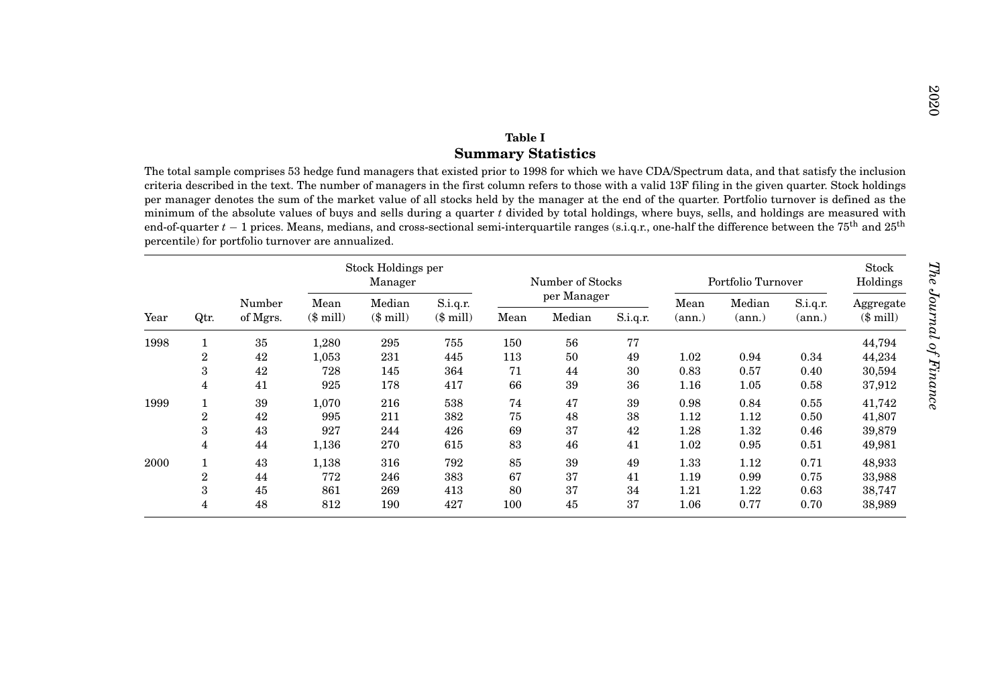| Table I<br><b>Summary Statistics</b> |                  |                    |                               |                       |                         |                  |                       |          |                    |                  |                                                                                                                                                                                                                                                                                                                                                                                                                                                                                                                                                                                                                                                                                                                                                                                                                                                               |                                                    |
|--------------------------------------|------------------|--------------------|-------------------------------|-----------------------|-------------------------|------------------|-----------------------|----------|--------------------|------------------|---------------------------------------------------------------------------------------------------------------------------------------------------------------------------------------------------------------------------------------------------------------------------------------------------------------------------------------------------------------------------------------------------------------------------------------------------------------------------------------------------------------------------------------------------------------------------------------------------------------------------------------------------------------------------------------------------------------------------------------------------------------------------------------------------------------------------------------------------------------|----------------------------------------------------|
|                                      |                  |                    |                               |                       |                         |                  |                       |          |                    |                  | The total sample comprises 53 hedge fund managers that existed prior to 1998 for which we have CDA/Spectrum data, and that satisfy the inclusion<br>criteria described in the text. The number of managers in the first column refers to those with a valid 13F filing in the given quarter. Stock holdings<br>per manager denotes the sum of the market value of all stocks held by the manager at the end of the quarter. Portfolio turnover is defined as the<br>minimum of the absolute values of buys and sells during a quarter t divided by total holdings, where buys, sells, and holdings are measured with<br>end-of-quarter $t-1$ prices. Means, medians, and cross-sectional semi-interguartile ranges (s.i.g.r., one-half the difference between the 75 <sup>th</sup> and 25 <sup>th</sup><br>percentile) for portfolio turnover are annualized. |                                                    |
|                                      |                  |                    | Stock Holdings per<br>Manager |                       |                         | Number of Stocks |                       |          | Portfolio Turnover |                  |                                                                                                                                                                                                                                                                                                                                                                                                                                                                                                                                                                                                                                                                                                                                                                                                                                                               | Stock<br>Holdings                                  |
| Year                                 | Qtr.             | Number<br>of Mgrs. | Mean<br>$(\$$ mill)           | Median<br>$(\$$ mill) | S.i.q.r.<br>$(\$$ mill) | Mean             | per Manager<br>Median | S.i.q.r. | Mean<br>(ann.)     | Median<br>(ann.) | S.i.q.r.<br>(ann.)                                                                                                                                                                                                                                                                                                                                                                                                                                                                                                                                                                                                                                                                                                                                                                                                                                            | The Journal of Finance<br>Aggregate<br>$(\$$ mill) |
| 1998                                 | $\mathbf{1}$     | 35                 | 1,280                         | 295                   | 755                     | 150              | 56                    | 77       |                    |                  |                                                                                                                                                                                                                                                                                                                                                                                                                                                                                                                                                                                                                                                                                                                                                                                                                                                               | 44,794                                             |
|                                      | $\boldsymbol{2}$ | 42                 | 1,053                         | 231                   | 445                     | 113              | 50                    | 49       | 1.02               | 0.94             | 0.34                                                                                                                                                                                                                                                                                                                                                                                                                                                                                                                                                                                                                                                                                                                                                                                                                                                          | 44,234                                             |
|                                      | 3                | 42                 | 728                           | 145                   | 364                     | 71               | 44                    | 30       | 0.83               | 0.57             | 0.40                                                                                                                                                                                                                                                                                                                                                                                                                                                                                                                                                                                                                                                                                                                                                                                                                                                          | 30,594                                             |
|                                      | $\overline{4}$   | 41                 | 925                           | 178                   | 417                     | 66               | 39                    | 36       | 1.16               | 1.05             | 0.58                                                                                                                                                                                                                                                                                                                                                                                                                                                                                                                                                                                                                                                                                                                                                                                                                                                          | 37,912                                             |
| 1999                                 | 1                | 39                 | 1,070                         | 216                   | 538                     | 74               | 47                    | 39       | 0.98               | 0.84             | 0.55                                                                                                                                                                                                                                                                                                                                                                                                                                                                                                                                                                                                                                                                                                                                                                                                                                                          | 41,742                                             |
|                                      | 2                | 42                 | 995                           | 211                   | 382                     | 75               | 48                    | 38       | 1.12               | 1.12             | 0.50                                                                                                                                                                                                                                                                                                                                                                                                                                                                                                                                                                                                                                                                                                                                                                                                                                                          | 41,807                                             |
|                                      | 3                | 43                 | 927                           | 244                   | 426                     | 69               | 37                    | 42       | 1.28               | 1.32             | 0.46                                                                                                                                                                                                                                                                                                                                                                                                                                                                                                                                                                                                                                                                                                                                                                                                                                                          | 39,879                                             |
|                                      | 4                | 44                 | 1,136                         | 270                   | 615                     | 83               | 46                    | 41       | 1.02               | 0.95             | 0.51                                                                                                                                                                                                                                                                                                                                                                                                                                                                                                                                                                                                                                                                                                                                                                                                                                                          | 49,981                                             |
| 2000                                 | 1                | 43                 | 1,138                         | 316                   | 792                     | 85               | 39                    | 49       | 1.33               | 1.12             | 0.71                                                                                                                                                                                                                                                                                                                                                                                                                                                                                                                                                                                                                                                                                                                                                                                                                                                          | 48,933                                             |
|                                      | 2                | 44                 | 772                           | 246                   | 383                     | 67               | 37                    | 41       | 1.19               | 0.99             | 0.75                                                                                                                                                                                                                                                                                                                                                                                                                                                                                                                                                                                                                                                                                                                                                                                                                                                          | 33,988                                             |
|                                      | 3                | 45                 | 861                           | 269                   | 413                     | 80               | 37                    | 34       | 1.21               | 1.22             | 0.63                                                                                                                                                                                                                                                                                                                                                                                                                                                                                                                                                                                                                                                                                                                                                                                                                                                          | 38,747                                             |
|                                      | 4                | 48                 | 812                           | 190                   | 427                     | 100              | 45                    | 37       | 1.06               | 0.77             | 0.70                                                                                                                                                                                                                                                                                                                                                                                                                                                                                                                                                                                                                                                                                                                                                                                                                                                          | 38,989                                             |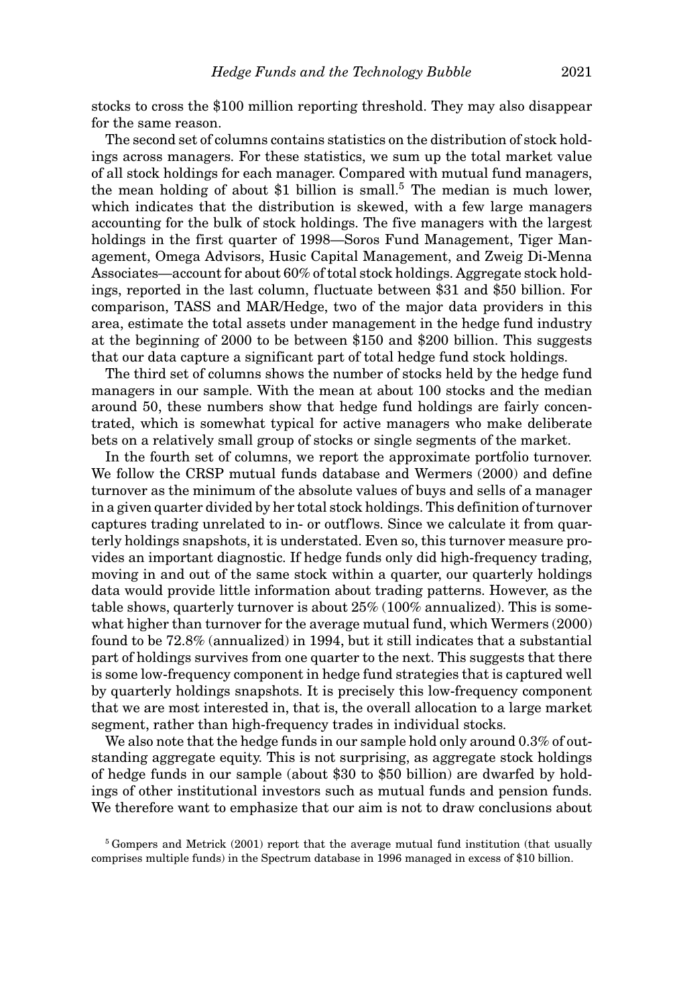stocks to cross the \$100 million reporting threshold. They may also disappear for the same reason.

The second set of columns contains statistics on the distribution of stock holdings across managers. For these statistics, we sum up the total market value of all stock holdings for each manager. Compared with mutual fund managers, the mean holding of about \$1 billion is small.<sup>5</sup> The median is much lower, which indicates that the distribution is skewed, with a few large managers accounting for the bulk of stock holdings. The five managers with the largest holdings in the first quarter of 1998—Soros Fund Management, Tiger Management, Omega Advisors, Husic Capital Management, and Zweig Di-Menna Associates—account for about 60% of total stock holdings. Aggregate stock holdings, reported in the last column, fluctuate between \$31 and \$50 billion. For comparison, TASS and MAR/Hedge, two of the major data providers in this area, estimate the total assets under management in the hedge fund industry at the beginning of 2000 to be between \$150 and \$200 billion. This suggests that our data capture a significant part of total hedge fund stock holdings.

The third set of columns shows the number of stocks held by the hedge fund managers in our sample. With the mean at about 100 stocks and the median around 50, these numbers show that hedge fund holdings are fairly concentrated, which is somewhat typical for active managers who make deliberate bets on a relatively small group of stocks or single segments of the market.

In the fourth set of columns, we report the approximate portfolio turnover. We follow the CRSP mutual funds database and Wermers (2000) and define turnover as the minimum of the absolute values of buys and sells of a manager in a given quarter divided by her total stock holdings. This definition of turnover captures trading unrelated to in- or outflows. Since we calculate it from quarterly holdings snapshots, it is understated. Even so, this turnover measure provides an important diagnostic. If hedge funds only did high-frequency trading, moving in and out of the same stock within a quarter, our quarterly holdings data would provide little information about trading patterns. However, as the table shows, quarterly turnover is about 25% (100% annualized). This is somewhat higher than turnover for the average mutual fund, which Wermers (2000) found to be 72.8% (annualized) in 1994, but it still indicates that a substantial part of holdings survives from one quarter to the next. This suggests that there is some low-frequency component in hedge fund strategies that is captured well by quarterly holdings snapshots. It is precisely this low-frequency component that we are most interested in, that is, the overall allocation to a large market segment, rather than high-frequency trades in individual stocks.

We also note that the hedge funds in our sample hold only around  $0.3\%$  of outstanding aggregate equity. This is not surprising, as aggregate stock holdings of hedge funds in our sample (about \$30 to \$50 billion) are dwarfed by holdings of other institutional investors such as mutual funds and pension funds. We therefore want to emphasize that our aim is not to draw conclusions about

<sup>5</sup> Gompers and Metrick (2001) report that the average mutual fund institution (that usually comprises multiple funds) in the Spectrum database in 1996 managed in excess of \$10 billion.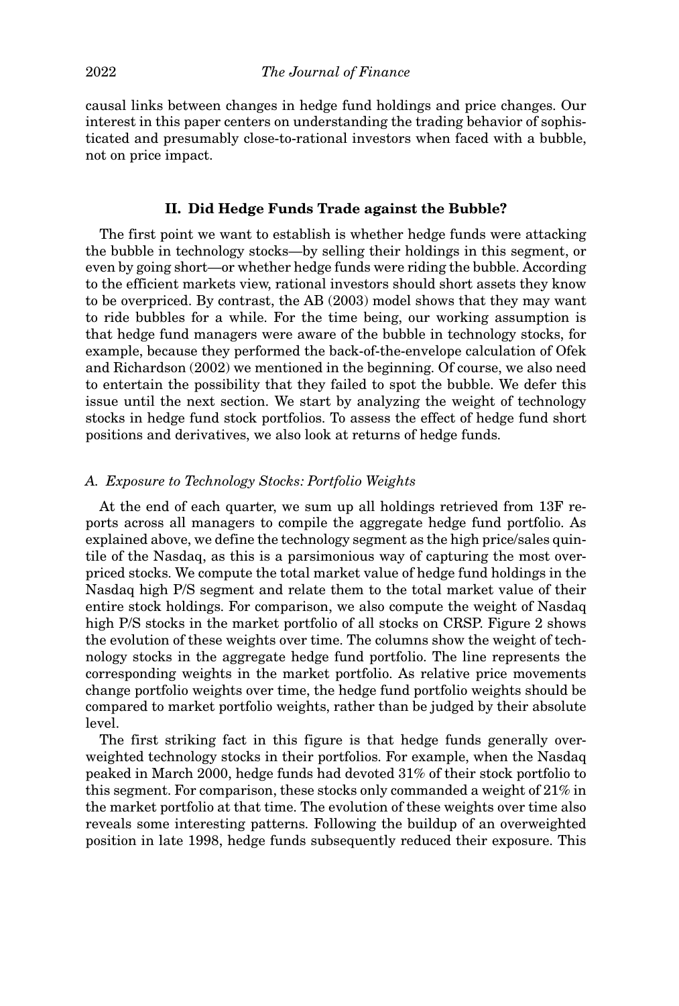causal links between changes in hedge fund holdings and price changes. Our interest in this paper centers on understanding the trading behavior of sophisticated and presumably close-to-rational investors when faced with a bubble, not on price impact.

# **II. Did Hedge Funds Trade against the Bubble?**

The first point we want to establish is whether hedge funds were attacking the bubble in technology stocks—by selling their holdings in this segment, or even by going short—or whether hedge funds were riding the bubble. According to the efficient markets view, rational investors should short assets they know to be overpriced. By contrast, the AB (2003) model shows that they may want to ride bubbles for a while. For the time being, our working assumption is that hedge fund managers were aware of the bubble in technology stocks, for example, because they performed the back-of-the-envelope calculation of Ofek and Richardson (2002) we mentioned in the beginning. Of course, we also need to entertain the possibility that they failed to spot the bubble. We defer this issue until the next section. We start by analyzing the weight of technology stocks in hedge fund stock portfolios. To assess the effect of hedge fund short positions and derivatives, we also look at returns of hedge funds.

# *A. Exposure to Technology Stocks: Portfolio Weights*

At the end of each quarter, we sum up all holdings retrieved from 13F reports across all managers to compile the aggregate hedge fund portfolio. As explained above, we define the technology segment as the high price/sales quintile of the Nasdaq, as this is a parsimonious way of capturing the most overpriced stocks. We compute the total market value of hedge fund holdings in the Nasdaq high P/S segment and relate them to the total market value of their entire stock holdings. For comparison, we also compute the weight of Nasdaq high P/S stocks in the market portfolio of all stocks on CRSP. Figure 2 shows the evolution of these weights over time. The columns show the weight of technology stocks in the aggregate hedge fund portfolio. The line represents the corresponding weights in the market portfolio. As relative price movements change portfolio weights over time, the hedge fund portfolio weights should be compared to market portfolio weights, rather than be judged by their absolute level.

The first striking fact in this figure is that hedge funds generally overweighted technology stocks in their portfolios. For example, when the Nasdaq peaked in March 2000, hedge funds had devoted 31% of their stock portfolio to this segment. For comparison, these stocks only commanded a weight of 21% in the market portfolio at that time. The evolution of these weights over time also reveals some interesting patterns. Following the buildup of an overweighted position in late 1998, hedge funds subsequently reduced their exposure. This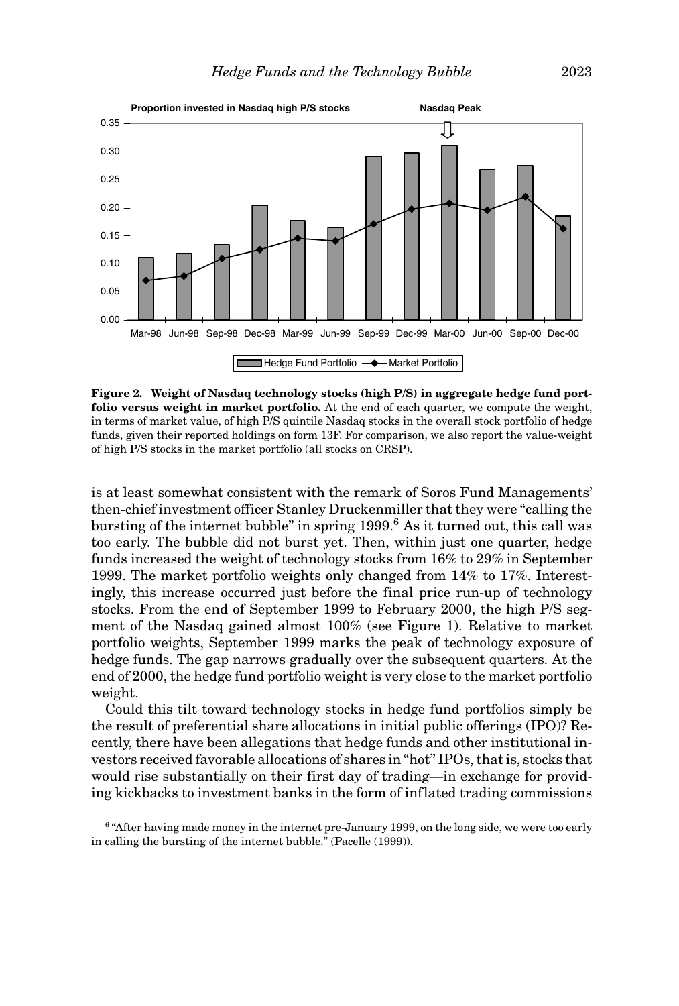

**Figure 2. Weight of Nasdaq technology stocks (high P/S) in aggregate hedge fund portfolio versus weight in market portfolio.** At the end of each quarter, we compute the weight, in terms of market value, of high P/S quintile Nasdaq stocks in the overall stock portfolio of hedge funds, given their reported holdings on form 13F. For comparison, we also report the value-weight of high P/S stocks in the market portfolio (all stocks on CRSP).

is at least somewhat consistent with the remark of Soros Fund Managements' then-chief investment officer Stanley Druckenmiller that they were "calling the bursting of the internet bubble" in spring 1999.<sup>6</sup> As it turned out, this call was too early. The bubble did not burst yet. Then, within just one quarter, hedge funds increased the weight of technology stocks from 16% to 29% in September 1999. The market portfolio weights only changed from 14% to 17%. Interestingly, this increase occurred just before the final price run-up of technology stocks. From the end of September 1999 to February 2000, the high P/S segment of the Nasdaq gained almost 100% (see Figure 1). Relative to market portfolio weights, September 1999 marks the peak of technology exposure of hedge funds. The gap narrows gradually over the subsequent quarters. At the end of 2000, the hedge fund portfolio weight is very close to the market portfolio weight.

Could this tilt toward technology stocks in hedge fund portfolios simply be the result of preferential share allocations in initial public offerings (IPO)? Recently, there have been allegations that hedge funds and other institutional investors received favorable allocations of shares in "hot" IPOs, that is, stocks that would rise substantially on their first day of trading—in exchange for providing kickbacks to investment banks in the form of inflated trading commissions

<sup>6</sup> "After having made money in the internet pre-January 1999, on the long side, we were too early in calling the bursting of the internet bubble." (Pacelle (1999)).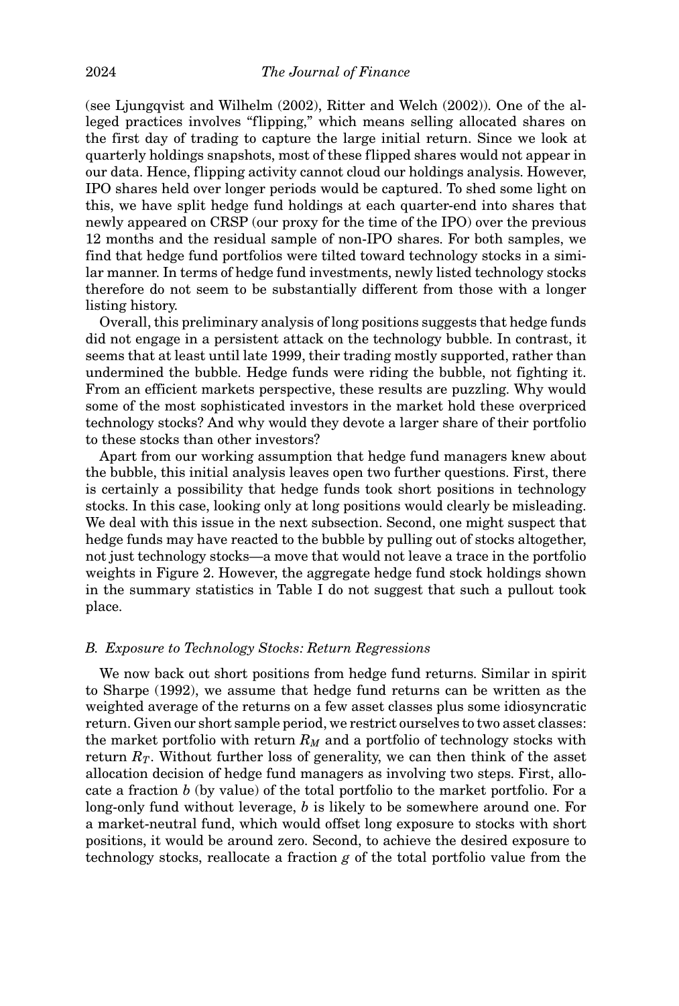(see Ljungqvist and Wilhelm (2002), Ritter and Welch (2002)). One of the alleged practices involves "flipping," which means selling allocated shares on the first day of trading to capture the large initial return. Since we look at quarterly holdings snapshots, most of these flipped shares would not appear in our data. Hence, flipping activity cannot cloud our holdings analysis. However, IPO shares held over longer periods would be captured. To shed some light on this, we have split hedge fund holdings at each quarter-end into shares that newly appeared on CRSP (our proxy for the time of the IPO) over the previous 12 months and the residual sample of non-IPO shares. For both samples, we find that hedge fund portfolios were tilted toward technology stocks in a similar manner. In terms of hedge fund investments, newly listed technology stocks therefore do not seem to be substantially different from those with a longer listing history.

Overall, this preliminary analysis of long positions suggests that hedge funds did not engage in a persistent attack on the technology bubble. In contrast, it seems that at least until late 1999, their trading mostly supported, rather than undermined the bubble. Hedge funds were riding the bubble, not fighting it. From an efficient markets perspective, these results are puzzling. Why would some of the most sophisticated investors in the market hold these overpriced technology stocks? And why would they devote a larger share of their portfolio to these stocks than other investors?

Apart from our working assumption that hedge fund managers knew about the bubble, this initial analysis leaves open two further questions. First, there is certainly a possibility that hedge funds took short positions in technology stocks. In this case, looking only at long positions would clearly be misleading. We deal with this issue in the next subsection. Second, one might suspect that hedge funds may have reacted to the bubble by pulling out of stocks altogether, not just technology stocks—a move that would not leave a trace in the portfolio weights in Figure 2. However, the aggregate hedge fund stock holdings shown in the summary statistics in Table I do not suggest that such a pullout took place.

# *B. Exposure to Technology Stocks: Return Regressions*

We now back out short positions from hedge fund returns. Similar in spirit to Sharpe (1992), we assume that hedge fund returns can be written as the weighted average of the returns on a few asset classes plus some idiosyncratic return. Given our short sample period, we restrict ourselves to two asset classes: the market portfolio with return  $R_M$  and a portfolio of technology stocks with return  $R_T$ . Without further loss of generality, we can then think of the asset allocation decision of hedge fund managers as involving two steps. First, allocate a fraction *b* (by value) of the total portfolio to the market portfolio. For a long-only fund without leverage, *b* is likely to be somewhere around one. For a market-neutral fund, which would offset long exposure to stocks with short positions, it would be around zero. Second, to achieve the desired exposure to technology stocks, reallocate a fraction *g* of the total portfolio value from the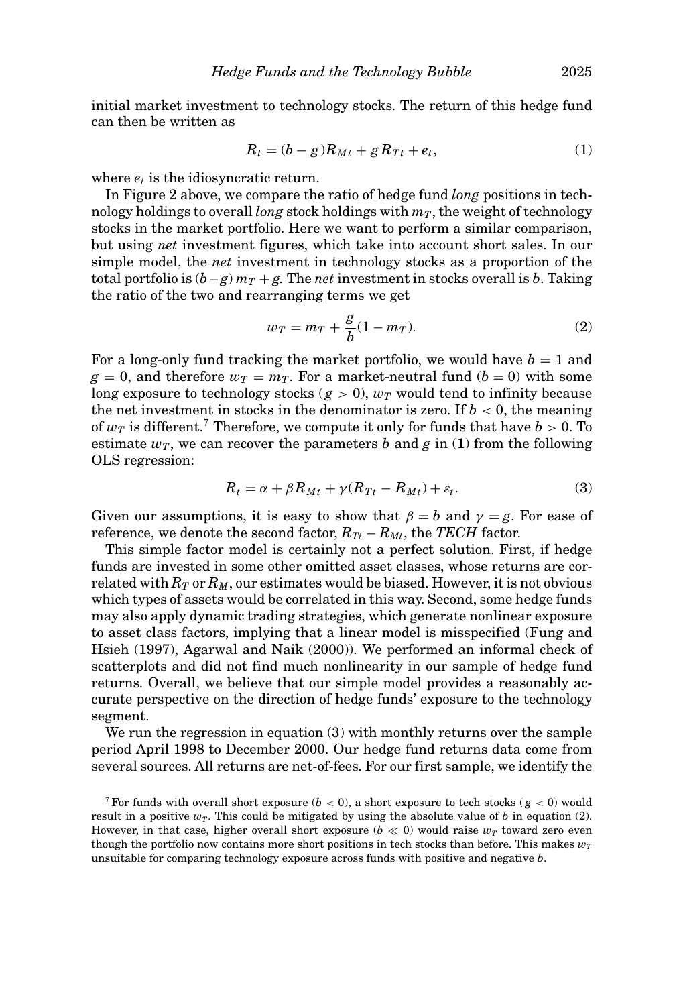initial market investment to technology stocks. The return of this hedge fund can then be written as

$$
R_t = (b - g)R_{Mt} + gR_{Tt} + e_t, \qquad (1)
$$

where  $e_t$  is the idiosyncratic return.

In Figure 2 above, we compare the ratio of hedge fund *long* positions in technology holdings to overall *long* stock holdings with  $m<sub>T</sub>$ , the weight of technology stocks in the market portfolio. Here we want to perform a similar comparison, but using *net* investment figures, which take into account short sales. In our simple model, the *net* investment in technology stocks as a proportion of the total portfolio is  $(b-g) m_T + g$ . The *net* investment in stocks overall is *b*. Taking the ratio of the two and rearranging terms we get

$$
w_T = m_T + \frac{g}{b}(1 - m_T). \tag{2}
$$

For a long-only fund tracking the market portfolio, we would have  $b = 1$  and  $g = 0$ , and therefore  $w_T = m_T$ . For a market-neutral fund  $(b = 0)$  with some long exposure to technology stocks ( $g > 0$ ),  $w_T$  would tend to infinity because the net investment in stocks in the denominator is zero. If  $b < 0$ , the meaning of  $w_T$  is different.<sup>7</sup> Therefore, we compute it only for funds that have  $b > 0$ . To estimate  $w_T$ , we can recover the parameters *b* and *g* in (1) from the following OLS regression:

$$
R_t = \alpha + \beta R_{Mt} + \gamma (R_{Tt} - R_{Mt}) + \varepsilon_t.
$$
\n(3)

Given our assumptions, it is easy to show that  $\beta = b$  and  $\gamma = g$ . For ease of reference, we denote the second factor,  $R_{Tt} - R_{Mt}$ , the *TECH* factor.

This simple factor model is certainly not a perfect solution. First, if hedge funds are invested in some other omitted asset classes, whose returns are correlated with  $R_T$  or  $R_M$ , our estimates would be biased. However, it is not obvious which types of assets would be correlated in this way. Second, some hedge funds may also apply dynamic trading strategies, which generate nonlinear exposure to asset class factors, implying that a linear model is misspecified (Fung and Hsieh (1997), Agarwal and Naik (2000)). We performed an informal check of scatterplots and did not find much nonlinearity in our sample of hedge fund returns. Overall, we believe that our simple model provides a reasonably accurate perspective on the direction of hedge funds' exposure to the technology segment.

We run the regression in equation (3) with monthly returns over the sample period April 1998 to December 2000. Our hedge fund returns data come from several sources. All returns are net-of-fees. For our first sample, we identify the

<sup>&</sup>lt;sup>7</sup> For funds with overall short exposure ( $b < 0$ ), a short exposure to tech stocks ( $g < 0$ ) would result in a positive  $w_T$ . This could be mitigated by using the absolute value of *b* in equation (2). However, in that case, higher overall short exposure  $(b \ll 0)$  would raise  $w_T$  toward zero even though the portfolio now contains more short positions in tech stocks than before. This makes  $w_T$ unsuitable for comparing technology exposure across funds with positive and negative *b*.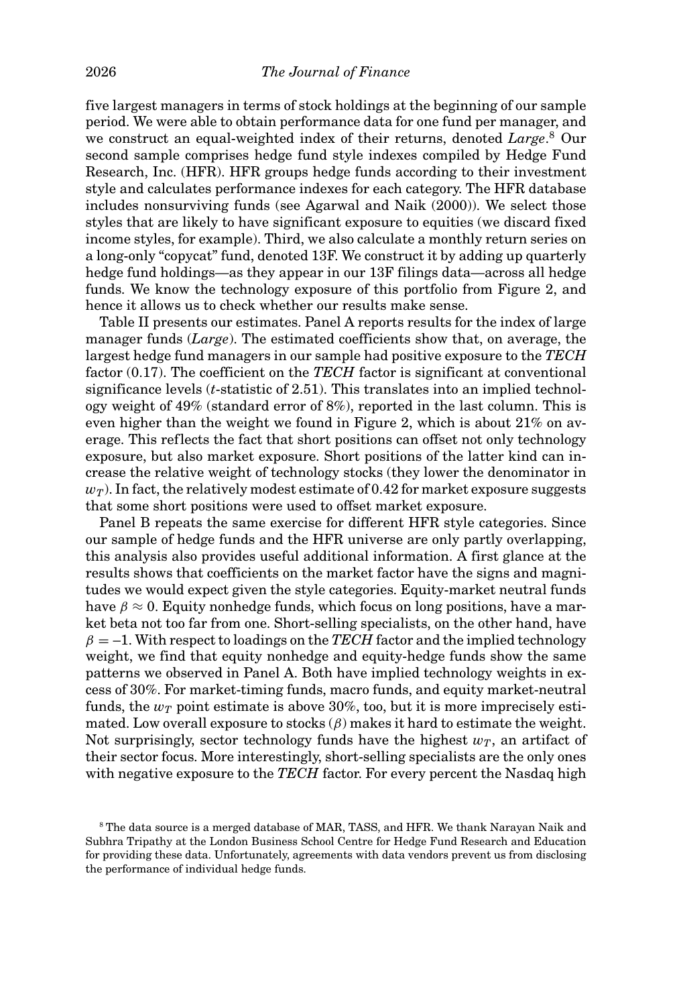five largest managers in terms of stock holdings at the beginning of our sample period. We were able to obtain performance data for one fund per manager, and we construct an equal-weighted index of their returns, denoted *Large*. <sup>8</sup> Our second sample comprises hedge fund style indexes compiled by Hedge Fund Research, Inc. (HFR). HFR groups hedge funds according to their investment style and calculates performance indexes for each category. The HFR database includes nonsurviving funds (see Agarwal and Naik (2000)). We select those styles that are likely to have significant exposure to equities (we discard fixed income styles, for example). Third, we also calculate a monthly return series on a long-only "copycat" fund, denoted 13F. We construct it by adding up quarterly hedge fund holdings—as they appear in our 13F filings data—across all hedge funds. We know the technology exposure of this portfolio from Figure 2, and hence it allows us to check whether our results make sense.

Table II presents our estimates. Panel A reports results for the index of large manager funds (*Large*). The estimated coefficients show that, on average, the largest hedge fund managers in our sample had positive exposure to the *TECH* factor (0.17). The coefficient on the *TECH* factor is significant at conventional significance levels (*t*-statistic of 2.51). This translates into an implied technology weight of 49% (standard error of 8%), reported in the last column. This is even higher than the weight we found in Figure 2, which is about 21% on average. This reflects the fact that short positions can offset not only technology exposure, but also market exposure. Short positions of the latter kind can increase the relative weight of technology stocks (they lower the denominator in  $w_T$ ). In fact, the relatively modest estimate of 0.42 for market exposure suggests that some short positions were used to offset market exposure.

Panel B repeats the same exercise for different HFR style categories. Since our sample of hedge funds and the HFR universe are only partly overlapping, this analysis also provides useful additional information. A first glance at the results shows that coefficients on the market factor have the signs and magnitudes we would expect given the style categories. Equity-market neutral funds have  $\beta \approx 0$ . Equity nonhedge funds, which focus on long positions, have a market beta not too far from one. Short-selling specialists, on the other hand, have  $\beta = -1$ . With respect to loadings on the *TECH* factor and the implied technology weight, we find that equity nonhedge and equity-hedge funds show the same patterns we observed in Panel A. Both have implied technology weights in excess of 30%. For market-timing funds, macro funds, and equity market-neutral funds, the  $w_T$  point estimate is above 30%, too, but it is more imprecisely estimated. Low overall exposure to stocks  $(\beta)$  makes it hard to estimate the weight. Not surprisingly, sector technology funds have the highest  $w_T$ , an artifact of their sector focus. More interestingly, short-selling specialists are the only ones with negative exposure to the *TECH* factor. For every percent the Nasdaq high

<sup>8</sup> The data source is a merged database of MAR, TASS, and HFR. We thank Narayan Naik and Subhra Tripathy at the London Business School Centre for Hedge Fund Research and Education for providing these data. Unfortunately, agreements with data vendors prevent us from disclosing the performance of individual hedge funds.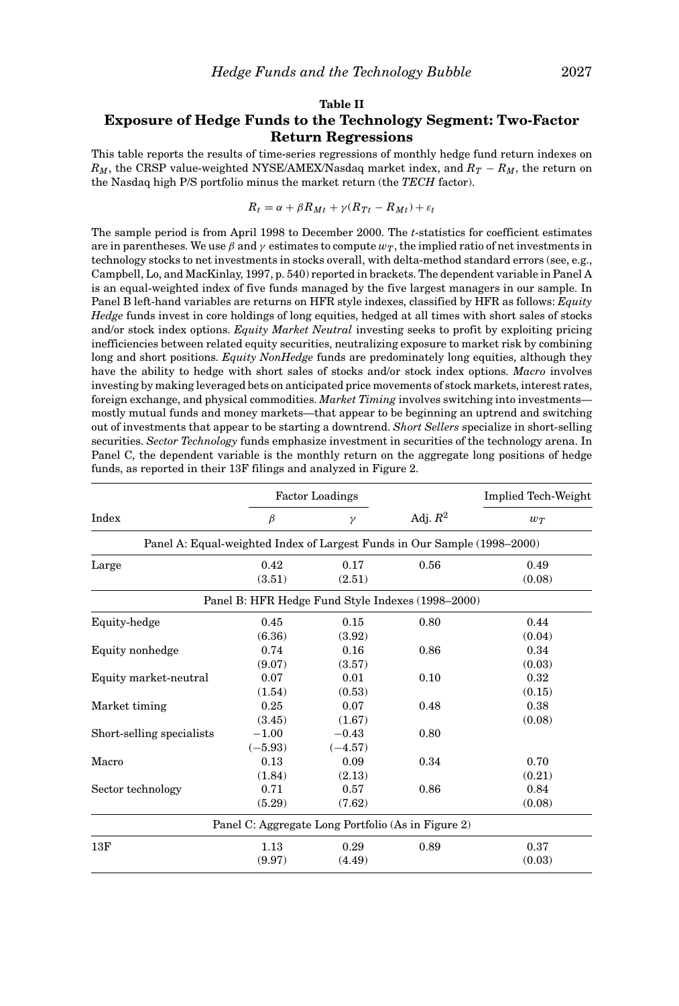# **Table II Exposure of Hedge Funds to the Technology Segment: Two-Factor Return Regressions**

This table reports the results of time-series regressions of monthly hedge fund return indexes on *RM*, the CRSP value-weighted NYSE/AMEX/Nasdaq market index, and  $R_T - R_M$ , the return on the Nasdaq high P/S portfolio minus the market return (the *TECH* factor).

$$
R_t = \alpha + \beta R_{Mt} + \gamma (R_{Tt} - R_{Mt}) + \varepsilon_t
$$

The sample period is from April 1998 to December 2000. The *t*-statistics for coefficient estimates are in parentheses. We use  $\beta$  and  $\gamma$  estimates to compute  $w_T$ , the implied ratio of net investments in technology stocks to net investments in stocks overall, with delta-method standard errors (see, e.g., Campbell, Lo, and MacKinlay, 1997, p. 540) reported in brackets. The dependent variable in Panel A is an equal-weighted index of five funds managed by the five largest managers in our sample. In Panel B left-hand variables are returns on HFR style indexes, classified by HFR as follows: *Equity Hedge* funds invest in core holdings of long equities, hedged at all times with short sales of stocks and/or stock index options. *Equity Market Neutral* investing seeks to profit by exploiting pricing inefficiencies between related equity securities, neutralizing exposure to market risk by combining long and short positions. *Equity NonHedge* funds are predominately long equities, although they have the ability to hedge with short sales of stocks and/or stock index options. *Macro* involves investing by making leveraged bets on anticipated price movements of stock markets, interest rates, foreign exchange, and physical commodities. *Market Timing* involves switching into investments mostly mutual funds and money markets—that appear to be beginning an uptrend and switching out of investments that appear to be starting a downtrend. *Short Sellers* specialize in short-selling securities. *Sector Technology* funds emphasize investment in securities of the technology arena. In Panel C, the dependent variable is the monthly return on the aggregate long positions of hedge funds, as reported in their 13F filings and analyzed in Figure 2.

|                                                                          |                      | <b>Factor Loadings</b>                             |            | Implied Tech-Weight |  |  |
|--------------------------------------------------------------------------|----------------------|----------------------------------------------------|------------|---------------------|--|--|
| Index                                                                    | $\beta$              | $\gamma$                                           | Adj. $R^2$ | wr                  |  |  |
| Panel A: Equal-weighted Index of Largest Funds in Our Sample (1998–2000) |                      |                                                    |            |                     |  |  |
| Large                                                                    | 0.42<br>(3.51)       | 0.17<br>(2.51)                                     | 0.56       | 0.49<br>(0.08)      |  |  |
|                                                                          |                      | Panel B: HFR Hedge Fund Style Indexes (1998-2000)  |            |                     |  |  |
| Equity-hedge                                                             | 0.45<br>(6.36)       | 0.15<br>(3.92)                                     | 0.80       | 0.44<br>(0.04)      |  |  |
| Equity nonhedge                                                          | 0.74<br>(9.07)       | 0.16<br>(3.57)                                     | 0.86       | 0.34<br>(0.03)      |  |  |
| Equity market-neutral                                                    | 0.07<br>(1.54)       | 0.01<br>(0.53)                                     | 0.10       | 0.32<br>(0.15)      |  |  |
| Market timing                                                            | 0.25<br>(3.45)       | 0.07<br>(1.67)                                     | 0.48       | 0.38<br>(0.08)      |  |  |
| Short-selling specialists                                                | $-1.00$<br>$(-5.93)$ | $-0.43$<br>$(-4.57)$                               | 0.80       |                     |  |  |
| Macro                                                                    | 0.13<br>(1.84)       | 0.09<br>(2.13)                                     | 0.34       | 0.70<br>(0.21)      |  |  |
| Sector technology                                                        | 0.71<br>(5.29)       | 0.57<br>(7.62)                                     | 0.86       | 0.84<br>(0.08)      |  |  |
|                                                                          |                      | Panel C: Aggregate Long Portfolio (As in Figure 2) |            |                     |  |  |
| 13F                                                                      | 1.13<br>(9.97)       | 0.29<br>(4.49)                                     | 0.89       | 0.37<br>(0.03)      |  |  |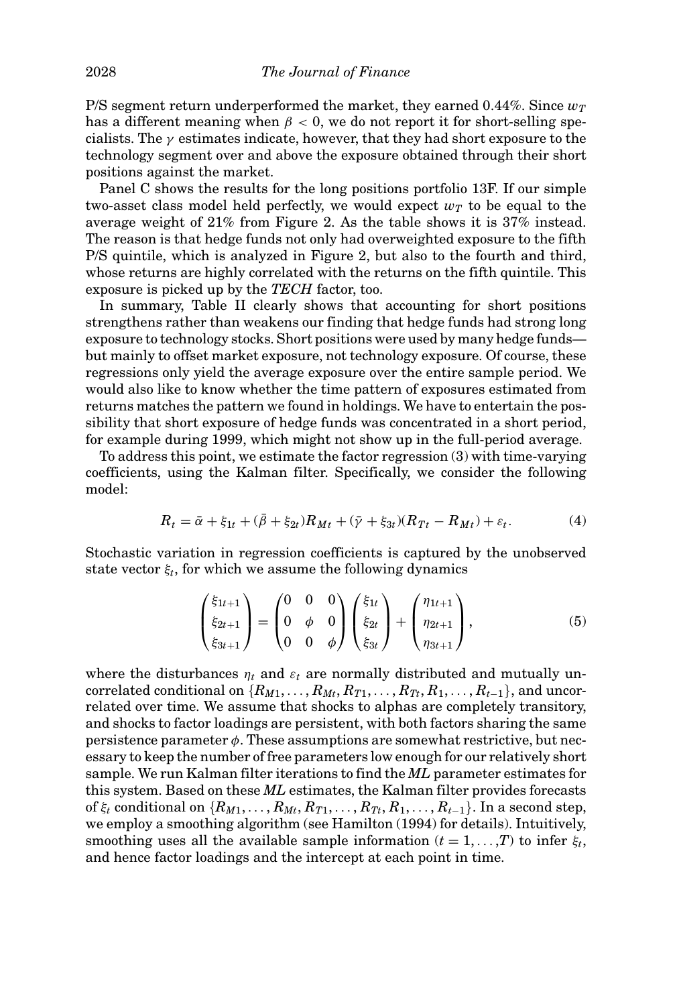P/S segment return underperformed the market, they earned  $0.44\%$ . Since  $w_T$ has a different meaning when  $\beta < 0$ , we do not report it for short-selling specialists. The  $\gamma$  estimates indicate, however, that they had short exposure to the technology segment over and above the exposure obtained through their short positions against the market.

Panel C shows the results for the long positions portfolio 13F. If our simple two-asset class model held perfectly, we would expect  $w_T$  to be equal to the average weight of 21% from Figure 2. As the table shows it is 37% instead. The reason is that hedge funds not only had overweighted exposure to the fifth P/S quintile, which is analyzed in Figure 2, but also to the fourth and third, whose returns are highly correlated with the returns on the fifth quintile. This exposure is picked up by the *TECH* factor, too.

In summary, Table II clearly shows that accounting for short positions strengthens rather than weakens our finding that hedge funds had strong long exposure to technology stocks. Short positions were used by many hedge funds but mainly to offset market exposure, not technology exposure. Of course, these regressions only yield the average exposure over the entire sample period. We would also like to know whether the time pattern of exposures estimated from returns matches the pattern we found in holdings. We have to entertain the possibility that short exposure of hedge funds was concentrated in a short period, for example during 1999, which might not show up in the full-period average.

To address this point, we estimate the factor regression (3) with time-varying coefficients, using the Kalman filter. Specifically, we consider the following model:

$$
R_t = \bar{\alpha} + \xi_{1t} + (\bar{\beta} + \xi_{2t})R_{Mt} + (\bar{\gamma} + \xi_{3t})(R_{Tt} - R_{Mt}) + \varepsilon_t.
$$
 (4)

Stochastic variation in regression coefficients is captured by the unobserved state vector  $\xi_t$ , for which we assume the following dynamics

$$
\begin{pmatrix} \xi_{1t+1} \\ \xi_{2t+1} \\ \xi_{3t+1} \end{pmatrix} = \begin{pmatrix} 0 & 0 & 0 \\ 0 & \phi & 0 \\ 0 & 0 & \phi \end{pmatrix} \begin{pmatrix} \xi_{1t} \\ \xi_{2t} \\ \xi_{3t} \end{pmatrix} + \begin{pmatrix} \eta_{1t+1} \\ \eta_{2t+1} \\ \eta_{3t+1} \end{pmatrix},
$$
(5)

where the disturbances  $\eta_t$  and  $\varepsilon_t$  are normally distributed and mutually uncorrelated conditional on  $\{R_{M1}, \ldots, R_{Mt}, R_{T1}, \ldots, R_{Tt}, R_1, \ldots, R_{t-1}\}$ , and uncorrelated over time. We assume that shocks to alphas are completely transitory, and shocks to factor loadings are persistent, with both factors sharing the same persistence parameter  $\phi$ . These assumptions are somewhat restrictive, but necessary to keep the number of free parameters low enough for our relatively short sample. We run Kalman filter iterations to find the *ML* parameter estimates for this system. Based on these *ML* estimates, the Kalman filter provides forecasts of  $\xi_t$  conditional on  $\{R_{M1}, \ldots, R_{Mt}, R_{T1}, \ldots, R_{Tt}, R_1, \ldots, R_{t-1}\}$ . In a second step, we employ a smoothing algorithm (see Hamilton (1994) for details). Intuitively, smoothing uses all the available sample information  $(t = 1, \ldots, T)$  to infer  $\xi_t$ , and hence factor loadings and the intercept at each point in time.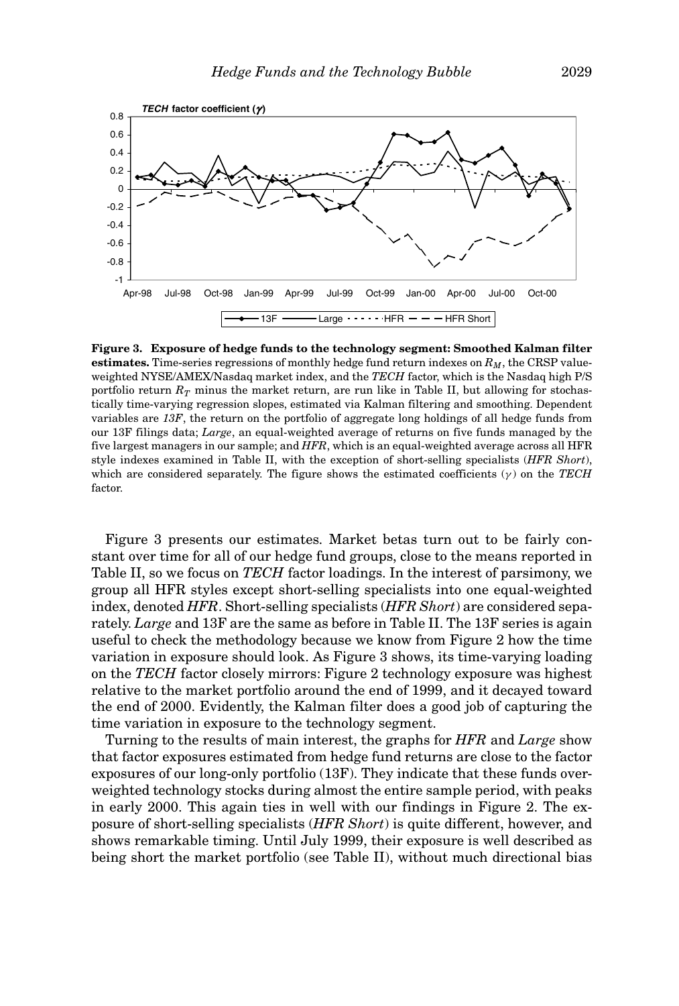

**Figure 3. Exposure of hedge funds to the technology segment: Smoothed Kalman filter estimates.** Time-series regressions of monthly hedge fund return indexes on *RM*, the CRSP valueweighted NYSE/AMEX/Nasdaq market index, and the *TECH* factor, which is the Nasdaq high P/S portfolio return  $R_T$  minus the market return, are run like in Table II, but allowing for stochastically time-varying regression slopes, estimated via Kalman filtering and smoothing. Dependent variables are *13F*, the return on the portfolio of aggregate long holdings of all hedge funds from our 13F filings data; *Large*, an equal-weighted average of returns on five funds managed by the five largest managers in our sample; and *HFR*, which is an equal-weighted average across all HFR style indexes examined in Table II, with the exception of short-selling specialists (*HFR Short*), which are considered separately. The figure shows the estimated coefficients (γ ) on the *TECH* factor.

Figure 3 presents our estimates. Market betas turn out to be fairly constant over time for all of our hedge fund groups, close to the means reported in Table II, so we focus on *TECH* factor loadings. In the interest of parsimony, we group all HFR styles except short-selling specialists into one equal-weighted index, denoted *HFR*. Short-selling specialists (*HFR Short*) are considered separately. *Large* and 13F are the same as before in Table II. The 13F series is again useful to check the methodology because we know from Figure 2 how the time variation in exposure should look. As Figure 3 shows, its time-varying loading on the *TECH* factor closely mirrors: Figure 2 technology exposure was highest relative to the market portfolio around the end of 1999, and it decayed toward the end of 2000. Evidently, the Kalman filter does a good job of capturing the time variation in exposure to the technology segment.

Turning to the results of main interest, the graphs for *HFR* and *Large* show that factor exposures estimated from hedge fund returns are close to the factor exposures of our long-only portfolio (13F). They indicate that these funds overweighted technology stocks during almost the entire sample period, with peaks in early 2000. This again ties in well with our findings in Figure 2. The exposure of short-selling specialists (*HFR Short*) is quite different, however, and shows remarkable timing. Until July 1999, their exposure is well described as being short the market portfolio (see Table II), without much directional bias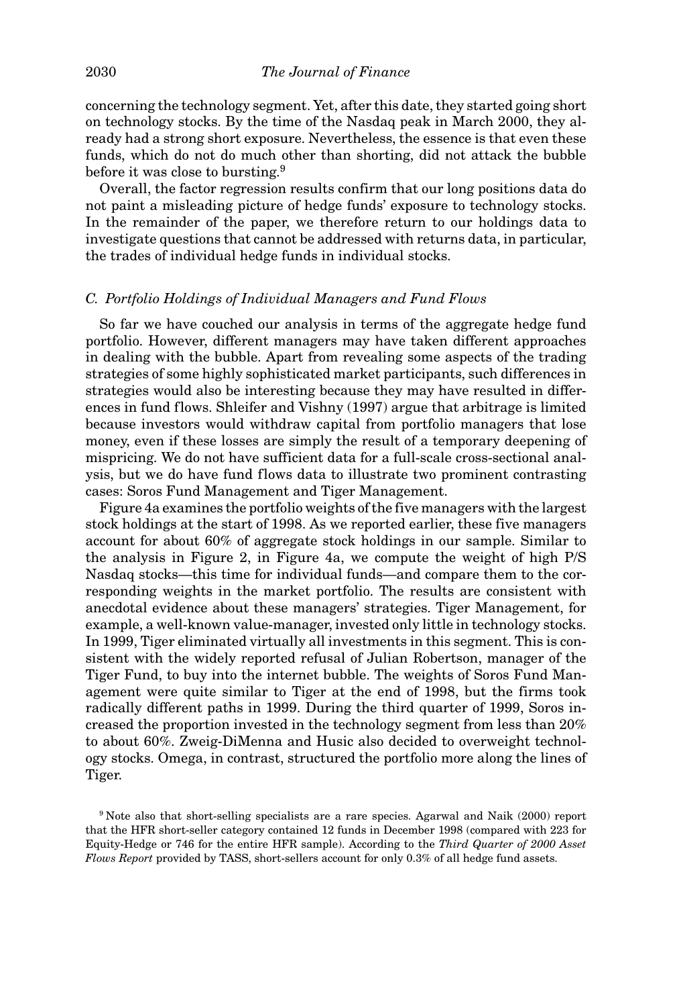concerning the technology segment. Yet, after this date, they started going short on technology stocks. By the time of the Nasdaq peak in March 2000, they already had a strong short exposure. Nevertheless, the essence is that even these funds, which do not do much other than shorting, did not attack the bubble before it was close to bursting.<sup>9</sup>

Overall, the factor regression results confirm that our long positions data do not paint a misleading picture of hedge funds' exposure to technology stocks. In the remainder of the paper, we therefore return to our holdings data to investigate questions that cannot be addressed with returns data, in particular, the trades of individual hedge funds in individual stocks.

# *C. Portfolio Holdings of Individual Managers and Fund Flows*

So far we have couched our analysis in terms of the aggregate hedge fund portfolio. However, different managers may have taken different approaches in dealing with the bubble. Apart from revealing some aspects of the trading strategies of some highly sophisticated market participants, such differences in strategies would also be interesting because they may have resulted in differences in fund flows. Shleifer and Vishny (1997) argue that arbitrage is limited because investors would withdraw capital from portfolio managers that lose money, even if these losses are simply the result of a temporary deepening of mispricing. We do not have sufficient data for a full-scale cross-sectional analysis, but we do have fund flows data to illustrate two prominent contrasting cases: Soros Fund Management and Tiger Management.

Figure 4a examines the portfolio weights of the five managers with the largest stock holdings at the start of 1998. As we reported earlier, these five managers account for about 60% of aggregate stock holdings in our sample. Similar to the analysis in Figure 2, in Figure 4a, we compute the weight of high P/S Nasdaq stocks—this time for individual funds—and compare them to the corresponding weights in the market portfolio. The results are consistent with anecdotal evidence about these managers' strategies. Tiger Management, for example, a well-known value-manager, invested only little in technology stocks. In 1999, Tiger eliminated virtually all investments in this segment. This is consistent with the widely reported refusal of Julian Robertson, manager of the Tiger Fund, to buy into the internet bubble. The weights of Soros Fund Management were quite similar to Tiger at the end of 1998, but the firms took radically different paths in 1999. During the third quarter of 1999, Soros increased the proportion invested in the technology segment from less than 20% to about 60%. Zweig-DiMenna and Husic also decided to overweight technology stocks. Omega, in contrast, structured the portfolio more along the lines of Tiger.

<sup>9</sup> Note also that short-selling specialists are a rare species. Agarwal and Naik (2000) report that the HFR short-seller category contained 12 funds in December 1998 (compared with 223 for Equity-Hedge or 746 for the entire HFR sample). According to the *Third Quarter of 2000 Asset Flows Report* provided by TASS, short-sellers account for only 0.3% of all hedge fund assets.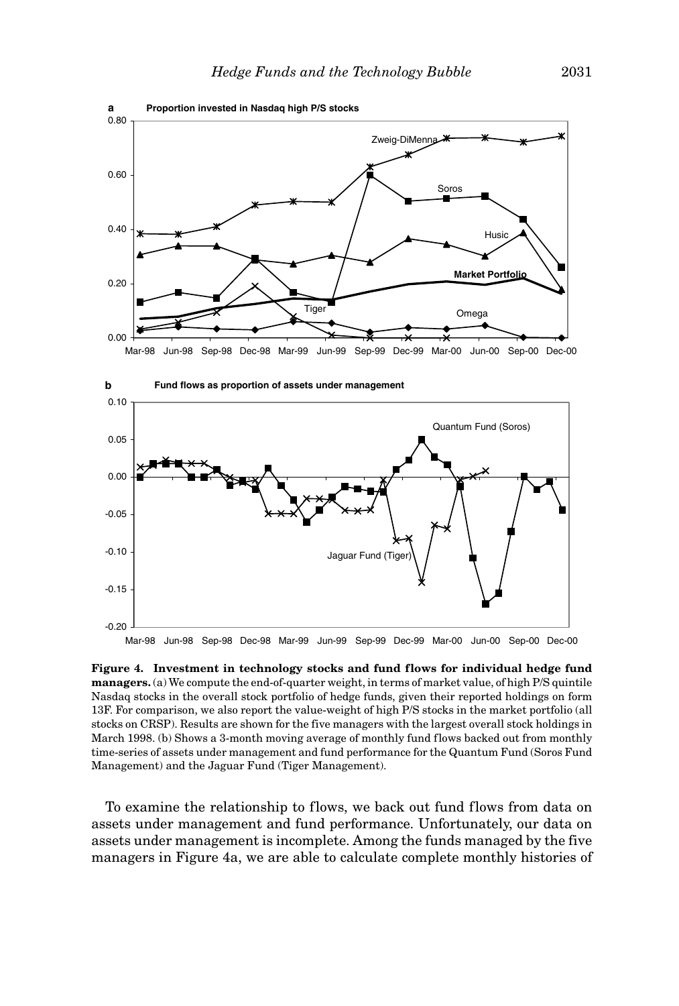



**Figure 4. Investment in technology stocks and fund flows for individual hedge fund managers.** (a) We compute the end-of-quarter weight, in terms of market value, of high P/S quintile Nasdaq stocks in the overall stock portfolio of hedge funds, given their reported holdings on form 13F. For comparison, we also report the value-weight of high P/S stocks in the market portfolio (all stocks on CRSP). Results are shown for the five managers with the largest overall stock holdings in March 1998. (b) Shows a 3-month moving average of monthly fund flows backed out from monthly time-series of assets under management and fund performance for the Quantum Fund (Soros Fund Management) and the Jaguar Fund (Tiger Management).

To examine the relationship to flows, we back out fund flows from data on assets under management and fund performance. Unfortunately, our data on assets under management is incomplete. Among the funds managed by the five managers in Figure 4a, we are able to calculate complete monthly histories of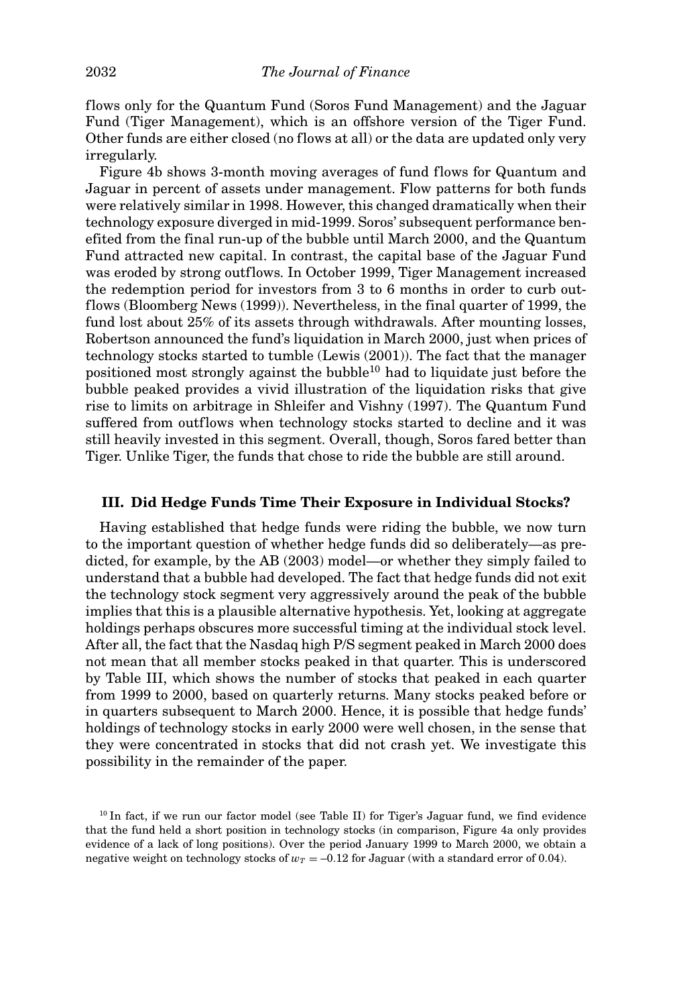flows only for the Quantum Fund (Soros Fund Management) and the Jaguar Fund (Tiger Management), which is an offshore version of the Tiger Fund. Other funds are either closed (no flows at all) or the data are updated only very irregularly.

Figure 4b shows 3-month moving averages of fund flows for Quantum and Jaguar in percent of assets under management. Flow patterns for both funds were relatively similar in 1998. However, this changed dramatically when their technology exposure diverged in mid-1999. Soros' subsequent performance benefited from the final run-up of the bubble until March 2000, and the Quantum Fund attracted new capital. In contrast, the capital base of the Jaguar Fund was eroded by strong outflows. In October 1999, Tiger Management increased the redemption period for investors from 3 to 6 months in order to curb outflows (Bloomberg News (1999)). Nevertheless, in the final quarter of 1999, the fund lost about 25% of its assets through withdrawals. After mounting losses, Robertson announced the fund's liquidation in March 2000, just when prices of technology stocks started to tumble (Lewis (2001)). The fact that the manager positioned most strongly against the bubble<sup>10</sup> had to liquidate just before the bubble peaked provides a vivid illustration of the liquidation risks that give rise to limits on arbitrage in Shleifer and Vishny (1997). The Quantum Fund suffered from outflows when technology stocks started to decline and it was still heavily invested in this segment. Overall, though, Soros fared better than Tiger. Unlike Tiger, the funds that chose to ride the bubble are still around.

#### **III. Did Hedge Funds Time Their Exposure in Individual Stocks?**

Having established that hedge funds were riding the bubble, we now turn to the important question of whether hedge funds did so deliberately—as predicted, for example, by the AB (2003) model—or whether they simply failed to understand that a bubble had developed. The fact that hedge funds did not exit the technology stock segment very aggressively around the peak of the bubble implies that this is a plausible alternative hypothesis. Yet, looking at aggregate holdings perhaps obscures more successful timing at the individual stock level. After all, the fact that the Nasdaq high P/S segment peaked in March 2000 does not mean that all member stocks peaked in that quarter. This is underscored by Table III, which shows the number of stocks that peaked in each quarter from 1999 to 2000, based on quarterly returns. Many stocks peaked before or in quarters subsequent to March 2000. Hence, it is possible that hedge funds' holdings of technology stocks in early 2000 were well chosen, in the sense that they were concentrated in stocks that did not crash yet. We investigate this possibility in the remainder of the paper.

<sup>&</sup>lt;sup>10</sup> In fact, if we run our factor model (see Table II) for Tiger's Jaguar fund, we find evidence that the fund held a short position in technology stocks (in comparison, Figure 4a only provides evidence of a lack of long positions). Over the period January 1999 to March 2000, we obtain a negative weight on technology stocks of  $w_T = -0.12$  for Jaguar (with a standard error of 0.04).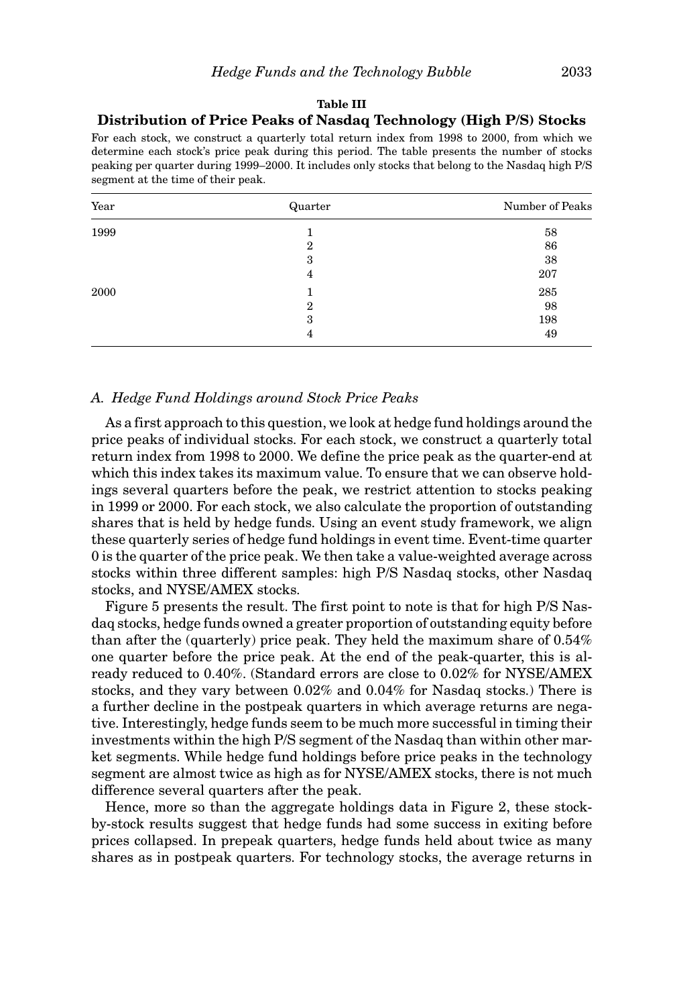# **Table III Distribution of Price Peaks of Nasdaq Technology (High P/S) Stocks**

For each stock, we construct a quarterly total return index from 1998 to 2000, from which we determine each stock's price peak during this period. The table presents the number of stocks peaking per quarter during 1999–2000. It includes only stocks that belong to the Nasdaq high P/S segment at the time of their peak.

| Year | Quarter        | Number of Peaks |  |  |
|------|----------------|-----------------|--|--|
| 1999 |                | 58              |  |  |
|      | $\overline{2}$ | 86              |  |  |
|      | 3              | 38              |  |  |
|      | $\overline{4}$ | 207             |  |  |
| 2000 |                | 285             |  |  |
|      | $\overline{2}$ | 98              |  |  |
|      | 3              | 198             |  |  |
|      | 4              | 49              |  |  |

#### *A. Hedge Fund Holdings around Stock Price Peaks*

As a first approach to this question, we look at hedge fund holdings around the price peaks of individual stocks. For each stock, we construct a quarterly total return index from 1998 to 2000. We define the price peak as the quarter-end at which this index takes its maximum value. To ensure that we can observe holdings several quarters before the peak, we restrict attention to stocks peaking in 1999 or 2000. For each stock, we also calculate the proportion of outstanding shares that is held by hedge funds. Using an event study framework, we align these quarterly series of hedge fund holdings in event time. Event-time quarter 0 is the quarter of the price peak. We then take a value-weighted average across stocks within three different samples: high P/S Nasdaq stocks, other Nasdaq stocks, and NYSE/AMEX stocks.

Figure 5 presents the result. The first point to note is that for high P/S Nasdaq stocks, hedge funds owned a greater proportion of outstanding equity before than after the (quarterly) price peak. They held the maximum share of 0.54% one quarter before the price peak. At the end of the peak-quarter, this is already reduced to 0.40%. (Standard errors are close to 0.02% for NYSE/AMEX stocks, and they vary between 0.02% and 0.04% for Nasdaq stocks.) There is a further decline in the postpeak quarters in which average returns are negative. Interestingly, hedge funds seem to be much more successful in timing their investments within the high P/S segment of the Nasdaq than within other market segments. While hedge fund holdings before price peaks in the technology segment are almost twice as high as for NYSE/AMEX stocks, there is not much difference several quarters after the peak.

Hence, more so than the aggregate holdings data in Figure 2, these stockby-stock results suggest that hedge funds had some success in exiting before prices collapsed. In prepeak quarters, hedge funds held about twice as many shares as in postpeak quarters. For technology stocks, the average returns in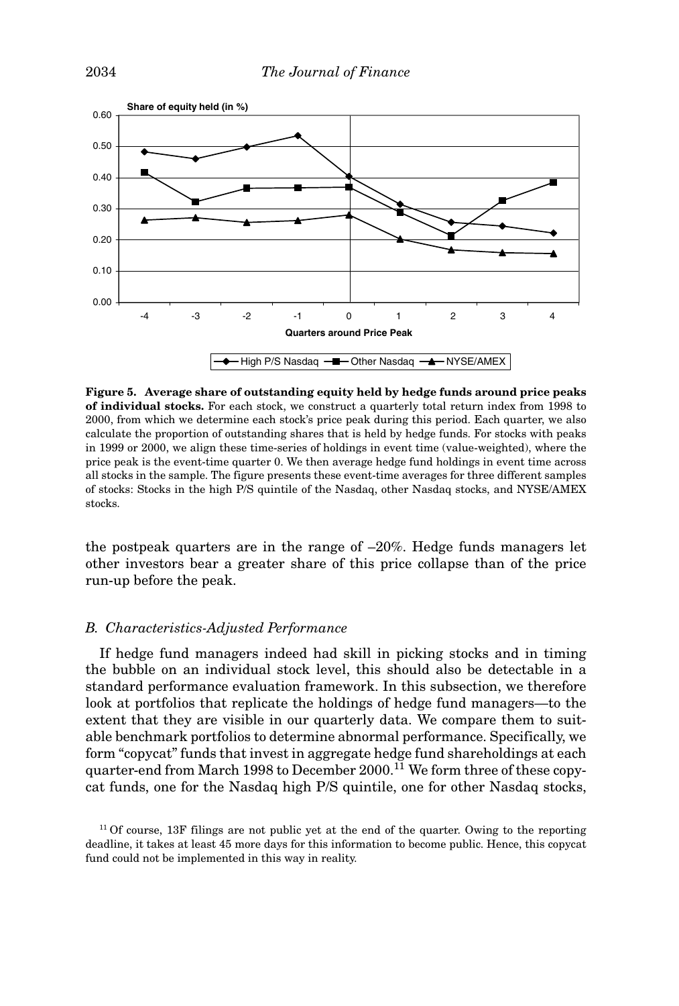

**Figure 5. Average share of outstanding equity held by hedge funds around price peaks of individual stocks.** For each stock, we construct a quarterly total return index from 1998 to 2000, from which we determine each stock's price peak during this period. Each quarter, we also calculate the proportion of outstanding shares that is held by hedge funds. For stocks with peaks in 1999 or 2000, we align these time-series of holdings in event time (value-weighted), where the price peak is the event-time quarter 0. We then average hedge fund holdings in event time across all stocks in the sample. The figure presents these event-time averages for three different samples of stocks: Stocks in the high P/S quintile of the Nasdaq, other Nasdaq stocks, and NYSE/AMEX stocks.

the postpeak quarters are in the range of  $-20\%$ . Hedge funds managers let other investors bear a greater share of this price collapse than of the price run-up before the peak.

# *B. Characteristics-Adjusted Performance*

If hedge fund managers indeed had skill in picking stocks and in timing the bubble on an individual stock level, this should also be detectable in a standard performance evaluation framework. In this subsection, we therefore look at portfolios that replicate the holdings of hedge fund managers—to the extent that they are visible in our quarterly data. We compare them to suitable benchmark portfolios to determine abnormal performance. Specifically, we form "copycat" funds that invest in aggregate hedge fund shareholdings at each quarter-end from March 1998 to December  $2000$ .<sup>11</sup> We form three of these copycat funds, one for the Nasdaq high P/S quintile, one for other Nasdaq stocks,

<sup>&</sup>lt;sup>11</sup> Of course, 13F filings are not public yet at the end of the quarter. Owing to the reporting deadline, it takes at least 45 more days for this information to become public. Hence, this copycat fund could not be implemented in this way in reality.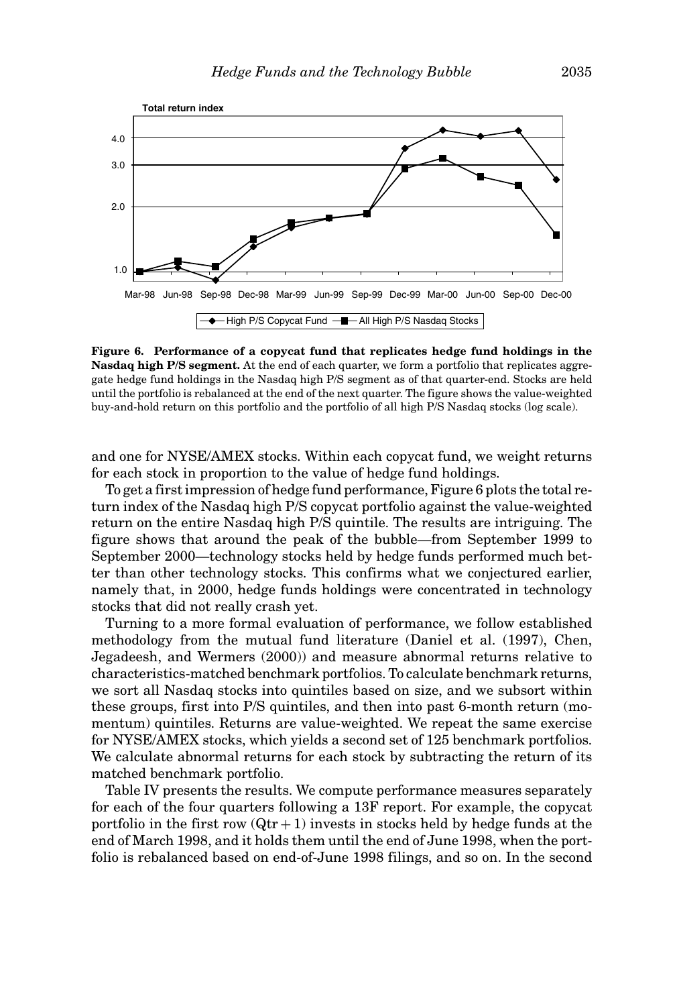

**Figure 6. Performance of a copycat fund that replicates hedge fund holdings in the Nasdaq high P/S segment.** At the end of each quarter, we form a portfolio that replicates aggregate hedge fund holdings in the Nasdaq high P/S segment as of that quarter-end. Stocks are held until the portfolio is rebalanced at the end of the next quarter. The figure shows the value-weighted buy-and-hold return on this portfolio and the portfolio of all high P/S Nasdaq stocks (log scale).

and one for NYSE/AMEX stocks. Within each copycat fund, we weight returns for each stock in proportion to the value of hedge fund holdings.

To get a first impression of hedge fund performance, Figure 6 plots the total return index of the Nasdaq high P/S copycat portfolio against the value-weighted return on the entire Nasdaq high P/S quintile. The results are intriguing. The figure shows that around the peak of the bubble—from September 1999 to September 2000—technology stocks held by hedge funds performed much better than other technology stocks. This confirms what we conjectured earlier, namely that, in 2000, hedge funds holdings were concentrated in technology stocks that did not really crash yet.

Turning to a more formal evaluation of performance, we follow established methodology from the mutual fund literature (Daniel et al. (1997), Chen, Jegadeesh, and Wermers (2000)) and measure abnormal returns relative to characteristics-matched benchmark portfolios. To calculate benchmark returns, we sort all Nasdaq stocks into quintiles based on size, and we subsort within these groups, first into P/S quintiles, and then into past 6-month return (momentum) quintiles. Returns are value-weighted. We repeat the same exercise for NYSE/AMEX stocks, which yields a second set of 125 benchmark portfolios. We calculate abnormal returns for each stock by subtracting the return of its matched benchmark portfolio.

Table IV presents the results. We compute performance measures separately for each of the four quarters following a 13F report. For example, the copycat portfolio in the first row  $(Qtr + 1)$  invests in stocks held by hedge funds at the end of March 1998, and it holds them until the end of June 1998, when the portfolio is rebalanced based on end-of-June 1998 filings, and so on. In the second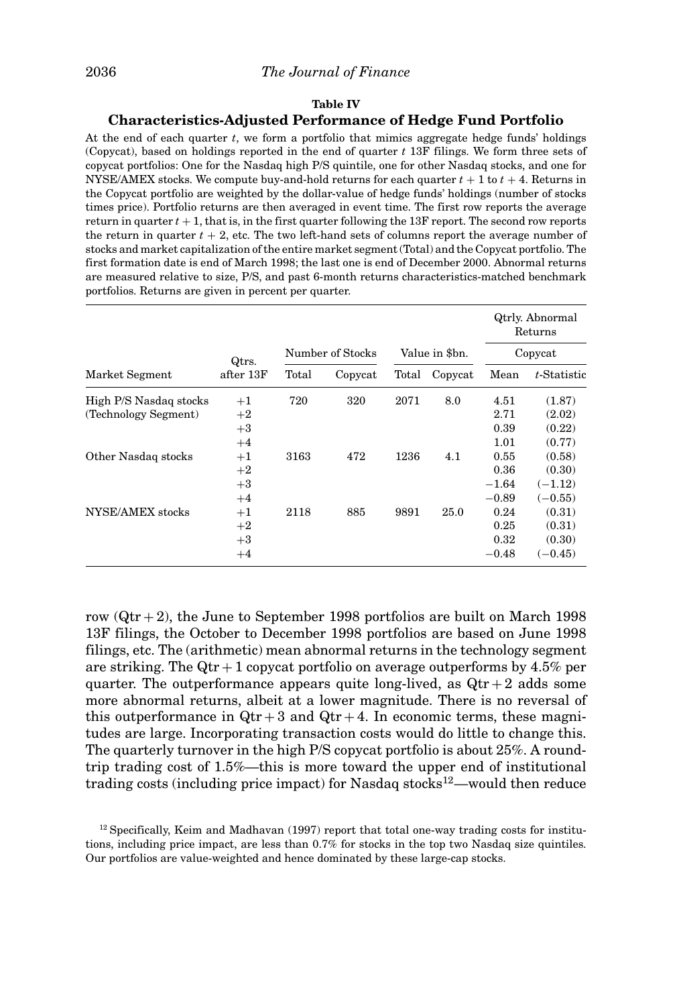# **Table IV**

#### **Characteristics-Adjusted Performance of Hedge Fund Portfolio**

At the end of each quarter *t*, we form a portfolio that mimics aggregate hedge funds' holdings (Copycat), based on holdings reported in the end of quarter *t* 13F filings. We form three sets of copycat portfolios: One for the Nasdaq high P/S quintile, one for other Nasdaq stocks, and one for NYSE/AMEX stocks. We compute buy-and-hold returns for each quarter  $t + 1$  to  $t + 4$ . Returns in the Copycat portfolio are weighted by the dollar-value of hedge funds' holdings (number of stocks times price). Portfolio returns are then averaged in event time. The first row reports the average return in quarter  $t + 1$ , that is, in the first quarter following the 13F report. The second row reports the return in quarter  $t + 2$ , etc. The two left-hand sets of columns report the average number of stocks and market capitalization of the entire market segment (Total) and the Copycat portfolio. The first formation date is end of March 1998; the last one is end of December 2000. Abnormal returns are measured relative to size, P/S, and past 6-month returns characteristics-matched benchmark portfolios. Returns are given in percent per quarter.

|                        |                    |                  |         |                |         |         | Qtrly. Abnormal<br>Returns |
|------------------------|--------------------|------------------|---------|----------------|---------|---------|----------------------------|
|                        | Qtrs.<br>after 13F | Number of Stocks |         | Value in \$bn. |         | Copycat |                            |
| Market Segment         |                    | Total            | Copycat | Total          | Copycat | Mean    | $t$ -Statistic             |
| High P/S Nasdaq stocks | $+1$               | 720              | 320     | 2071           | 8.0     | 4.51    | (1.87)                     |
| (Technology Segment)   | $+2$               |                  |         |                |         | 2.71    | (2.02)                     |
|                        | $+3$               |                  |         |                |         | 0.39    | (0.22)                     |
|                        | $+4$               |                  |         |                |         | 1.01    | (0.77)                     |
| Other Nasdaq stocks    | $+1$               | 3163             | 472     | 1236           | 4.1     | 0.55    | (0.58)                     |
|                        | $+2$               |                  |         |                |         | 0.36    | (0.30)                     |
|                        | $+3$               |                  |         |                |         | $-1.64$ | $(-1.12)$                  |
|                        | $+4$               |                  |         |                |         | $-0.89$ | $(-0.55)$                  |
| NYSE/AMEX stocks       | $+1$               | 2118             | 885     | 9891           | 25.0    | 0.24    | (0.31)                     |
|                        | $+2$               |                  |         |                |         | 0.25    | (0.31)                     |
|                        | $+3$               |                  |         |                |         | 0.32    | (0.30)                     |
|                        | $+4$               |                  |         |                |         | $-0.48$ | $(-0.45)$                  |

row  $(Qtr + 2)$ , the June to September 1998 portfolios are built on March 1998 13F filings, the October to December 1998 portfolios are based on June 1998 filings, etc. The (arithmetic) mean abnormal returns in the technology segment are striking. The  $Qtr + 1$  copycat portfolio on average outperforms by 4.5% per quarter. The outperformance appears quite long-lived, as  $Qtr + 2$  adds some more abnormal returns, albeit at a lower magnitude. There is no reversal of this outperformance in  $Qtr + 3$  and  $Qtr + 4$ . In economic terms, these magnitudes are large. Incorporating transaction costs would do little to change this. The quarterly turnover in the high P/S copycat portfolio is about 25%. A roundtrip trading cost of 1.5%—this is more toward the upper end of institutional trading costs (including price impact) for Nasdaq stocks<sup>12</sup>—would then reduce

<sup>&</sup>lt;sup>12</sup> Specifically, Keim and Madhavan (1997) report that total one-way trading costs for institutions, including price impact, are less than 0.7% for stocks in the top two Nasdaq size quintiles. Our portfolios are value-weighted and hence dominated by these large-cap stocks.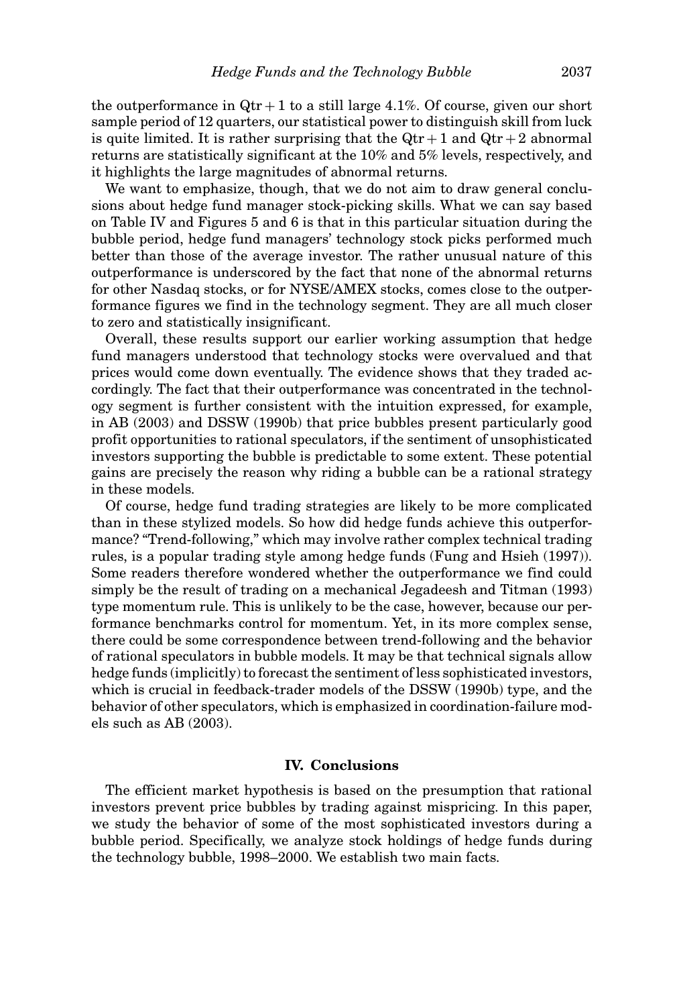the outperformance in  $Qtr + 1$  to a still large 4.1%. Of course, given our short sample period of 12 quarters, our statistical power to distinguish skill from luck is quite limited. It is rather surprising that the  $Qtr + 1$  and  $Qtr + 2$  abnormal returns are statistically significant at the 10% and 5% levels, respectively, and it highlights the large magnitudes of abnormal returns.

We want to emphasize, though, that we do not aim to draw general conclusions about hedge fund manager stock-picking skills. What we can say based on Table IV and Figures 5 and 6 is that in this particular situation during the bubble period, hedge fund managers' technology stock picks performed much better than those of the average investor. The rather unusual nature of this outperformance is underscored by the fact that none of the abnormal returns for other Nasdaq stocks, or for NYSE/AMEX stocks, comes close to the outperformance figures we find in the technology segment. They are all much closer to zero and statistically insignificant.

Overall, these results support our earlier working assumption that hedge fund managers understood that technology stocks were overvalued and that prices would come down eventually. The evidence shows that they traded accordingly. The fact that their outperformance was concentrated in the technology segment is further consistent with the intuition expressed, for example, in AB (2003) and DSSW (1990b) that price bubbles present particularly good profit opportunities to rational speculators, if the sentiment of unsophisticated investors supporting the bubble is predictable to some extent. These potential gains are precisely the reason why riding a bubble can be a rational strategy in these models.

Of course, hedge fund trading strategies are likely to be more complicated than in these stylized models. So how did hedge funds achieve this outperformance? "Trend-following," which may involve rather complex technical trading rules, is a popular trading style among hedge funds (Fung and Hsieh (1997)). Some readers therefore wondered whether the outperformance we find could simply be the result of trading on a mechanical Jegadeesh and Titman (1993) type momentum rule. This is unlikely to be the case, however, because our performance benchmarks control for momentum. Yet, in its more complex sense, there could be some correspondence between trend-following and the behavior of rational speculators in bubble models. It may be that technical signals allow hedge funds (implicitly) to forecast the sentiment of less sophisticated investors, which is crucial in feedback-trader models of the DSSW (1990b) type, and the behavior of other speculators, which is emphasized in coordination-failure models such as AB (2003).

# **IV. Conclusions**

The efficient market hypothesis is based on the presumption that rational investors prevent price bubbles by trading against mispricing. In this paper, we study the behavior of some of the most sophisticated investors during a bubble period. Specifically, we analyze stock holdings of hedge funds during the technology bubble, 1998–2000. We establish two main facts.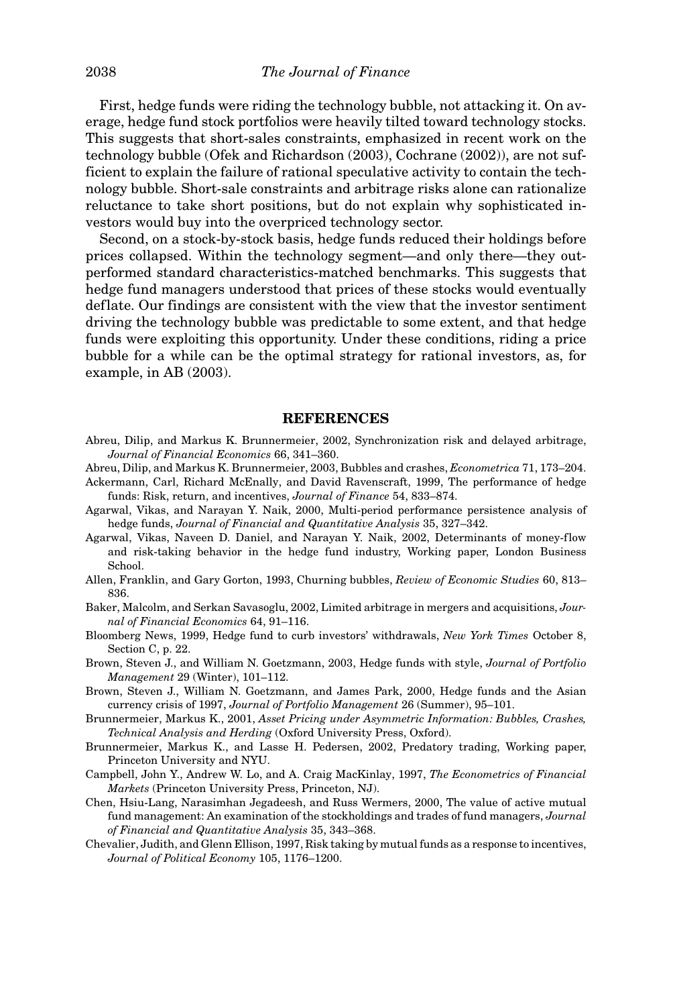First, hedge funds were riding the technology bubble, not attacking it. On average, hedge fund stock portfolios were heavily tilted toward technology stocks. This suggests that short-sales constraints, emphasized in recent work on the technology bubble (Ofek and Richardson (2003), Cochrane (2002)), are not sufficient to explain the failure of rational speculative activity to contain the technology bubble. Short-sale constraints and arbitrage risks alone can rationalize reluctance to take short positions, but do not explain why sophisticated investors would buy into the overpriced technology sector.

Second, on a stock-by-stock basis, hedge funds reduced their holdings before prices collapsed. Within the technology segment—and only there—they outperformed standard characteristics-matched benchmarks. This suggests that hedge fund managers understood that prices of these stocks would eventually deflate. Our findings are consistent with the view that the investor sentiment driving the technology bubble was predictable to some extent, and that hedge funds were exploiting this opportunity. Under these conditions, riding a price bubble for a while can be the optimal strategy for rational investors, as, for example, in AB (2003).

#### **REFERENCES**

- Abreu, Dilip, and Markus K. Brunnermeier, 2002, Synchronization risk and delayed arbitrage, *Journal of Financial Economics* 66, 341–360.
- Abreu, Dilip, and Markus K. Brunnermeier, 2003, Bubbles and crashes, *Econometrica* 71, 173–204.
- Ackermann, Carl, Richard McEnally, and David Ravenscraft, 1999, The performance of hedge funds: Risk, return, and incentives, *Journal of Finance* 54, 833–874.
- Agarwal, Vikas, and Narayan Y. Naik, 2000, Multi-period performance persistence analysis of hedge funds, *Journal of Financial and Quantitative Analysis* 35, 327–342.
- Agarwal, Vikas, Naveen D. Daniel, and Narayan Y. Naik, 2002, Determinants of money-flow and risk-taking behavior in the hedge fund industry, Working paper, London Business School.
- Allen, Franklin, and Gary Gorton, 1993, Churning bubbles, *Review of Economic Studies* 60, 813– 836.
- Baker, Malcolm, and Serkan Savasoglu, 2002, Limited arbitrage in mergers and acquisitions, *Journal of Financial Economics* 64, 91–116.
- Bloomberg News, 1999, Hedge fund to curb investors' withdrawals, *New York Times* October 8, Section C, p. 22.
- Brown, Steven J., and William N. Goetzmann, 2003, Hedge funds with style, *Journal of Portfolio Management* 29 (Winter), 101–112.
- Brown, Steven J., William N. Goetzmann, and James Park, 2000, Hedge funds and the Asian currency crisis of 1997, *Journal of Portfolio Management* 26 (Summer), 95–101.
- Brunnermeier, Markus K., 2001, *Asset Pricing under Asymmetric Information: Bubbles, Crashes, Technical Analysis and Herding* (Oxford University Press, Oxford).
- Brunnermeier, Markus K., and Lasse H. Pedersen, 2002, Predatory trading, Working paper, Princeton University and NYU.
- Campbell, John Y., Andrew W. Lo, and A. Craig MacKinlay, 1997, *The Econometrics of Financial Markets* (Princeton University Press, Princeton, NJ).
- Chen, Hsiu-Lang, Narasimhan Jegadeesh, and Russ Wermers, 2000, The value of active mutual fund management: An examination of the stockholdings and trades of fund managers, *Journal of Financial and Quantitative Analysis* 35, 343–368.
- Chevalier, Judith, and Glenn Ellison, 1997, Risk taking by mutual funds as a response to incentives, *Journal of Political Economy* 105, 1176–1200.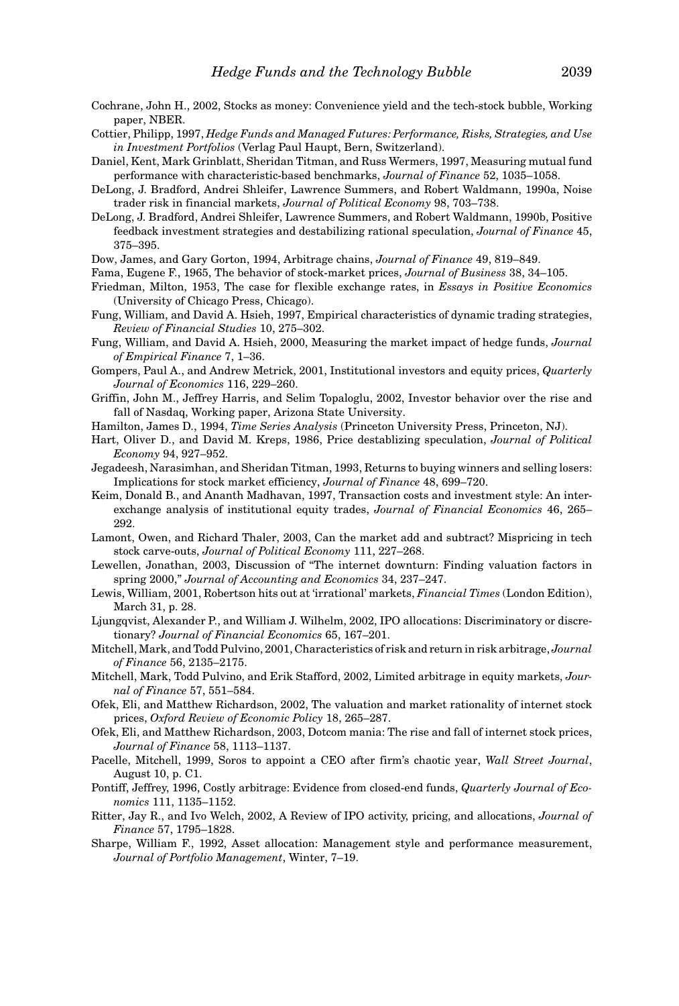- Cochrane, John H., 2002, Stocks as money: Convenience yield and the tech-stock bubble, Working paper, NBER.
- Cottier, Philipp, 1997, *Hedge Funds and Managed Futures: Performance, Risks, Strategies, and Use in Investment Portfolios* (Verlag Paul Haupt, Bern, Switzerland).
- Daniel, Kent, Mark Grinblatt, Sheridan Titman, and Russ Wermers, 1997, Measuring mutual fund performance with characteristic-based benchmarks, *Journal of Finance* 52, 1035–1058.
- DeLong, J. Bradford, Andrei Shleifer, Lawrence Summers, and Robert Waldmann, 1990a, Noise trader risk in financial markets, *Journal of Political Economy* 98, 703–738.
- DeLong, J. Bradford, Andrei Shleifer, Lawrence Summers, and Robert Waldmann, 1990b, Positive feedback investment strategies and destabilizing rational speculation, *Journal of Finance* 45, 375–395.
- Dow, James, and Gary Gorton, 1994, Arbitrage chains, *Journal of Finance* 49, 819–849.
- Fama, Eugene F., 1965, The behavior of stock-market prices, *Journal of Business* 38, 34–105.
- Friedman, Milton, 1953, The case for flexible exchange rates, in *Essays in Positive Economics* (University of Chicago Press, Chicago).
- Fung, William, and David A. Hsieh, 1997, Empirical characteristics of dynamic trading strategies, *Review of Financial Studies* 10, 275–302.
- Fung, William, and David A. Hsieh, 2000, Measuring the market impact of hedge funds, *Journal of Empirical Finance* 7, 1–36.
- Gompers, Paul A., and Andrew Metrick, 2001, Institutional investors and equity prices, *Quarterly Journal of Economics* 116, 229–260.
- Griffin, John M., Jeffrey Harris, and Selim Topaloglu, 2002, Investor behavior over the rise and fall of Nasdaq, Working paper, Arizona State University.
- Hamilton, James D., 1994, *Time Series Analysis* (Princeton University Press, Princeton, NJ).
- Hart, Oliver D., and David M. Kreps, 1986, Price destablizing speculation, *Journal of Political Economy* 94, 927–952.
- Jegadeesh, Narasimhan, and Sheridan Titman, 1993, Returns to buying winners and selling losers: Implications for stock market efficiency, *Journal of Finance* 48, 699–720.
- Keim, Donald B., and Ananth Madhavan, 1997, Transaction costs and investment style: An interexchange analysis of institutional equity trades, *Journal of Financial Economics* 46, 265– 292.
- Lamont, Owen, and Richard Thaler, 2003, Can the market add and subtract? Mispricing in tech stock carve-outs, *Journal of Political Economy* 111, 227–268.
- Lewellen, Jonathan, 2003, Discussion of "The internet downturn: Finding valuation factors in spring 2000," *Journal of Accounting and Economics* 34, 237–247.
- Lewis, William, 2001, Robertson hits out at 'irrational' markets, *Financial Times* (London Edition), March 31, p. 28.
- Ljungqvist, Alexander P., and William J. Wilhelm, 2002, IPO allocations: Discriminatory or discretionary? *Journal of Financial Economics* 65, 167–201.
- Mitchell, Mark, and Todd Pulvino, 2001, Characteristics of risk and return in risk arbitrage, *Journal of Finance* 56, 2135–2175.
- Mitchell, Mark, Todd Pulvino, and Erik Stafford, 2002, Limited arbitrage in equity markets, *Journal of Finance* 57, 551–584.
- Ofek, Eli, and Matthew Richardson, 2002, The valuation and market rationality of internet stock prices, *Oxford Review of Economic Policy* 18, 265–287.
- Ofek, Eli, and Matthew Richardson, 2003, Dotcom mania: The rise and fall of internet stock prices, *Journal of Finance* 58, 1113–1137.
- Pacelle, Mitchell, 1999, Soros to appoint a CEO after firm's chaotic year, *Wall Street Journal*, August 10, p. C1.
- Pontiff, Jeffrey, 1996, Costly arbitrage: Evidence from closed-end funds, *Quarterly Journal of Economics* 111, 1135–1152.
- Ritter, Jay R., and Ivo Welch, 2002, A Review of IPO activity, pricing, and allocations, *Journal of Finance* 57, 1795–1828.
- Sharpe, William F., 1992, Asset allocation: Management style and performance measurement, *Journal of Portfolio Management*, Winter, 7–19.